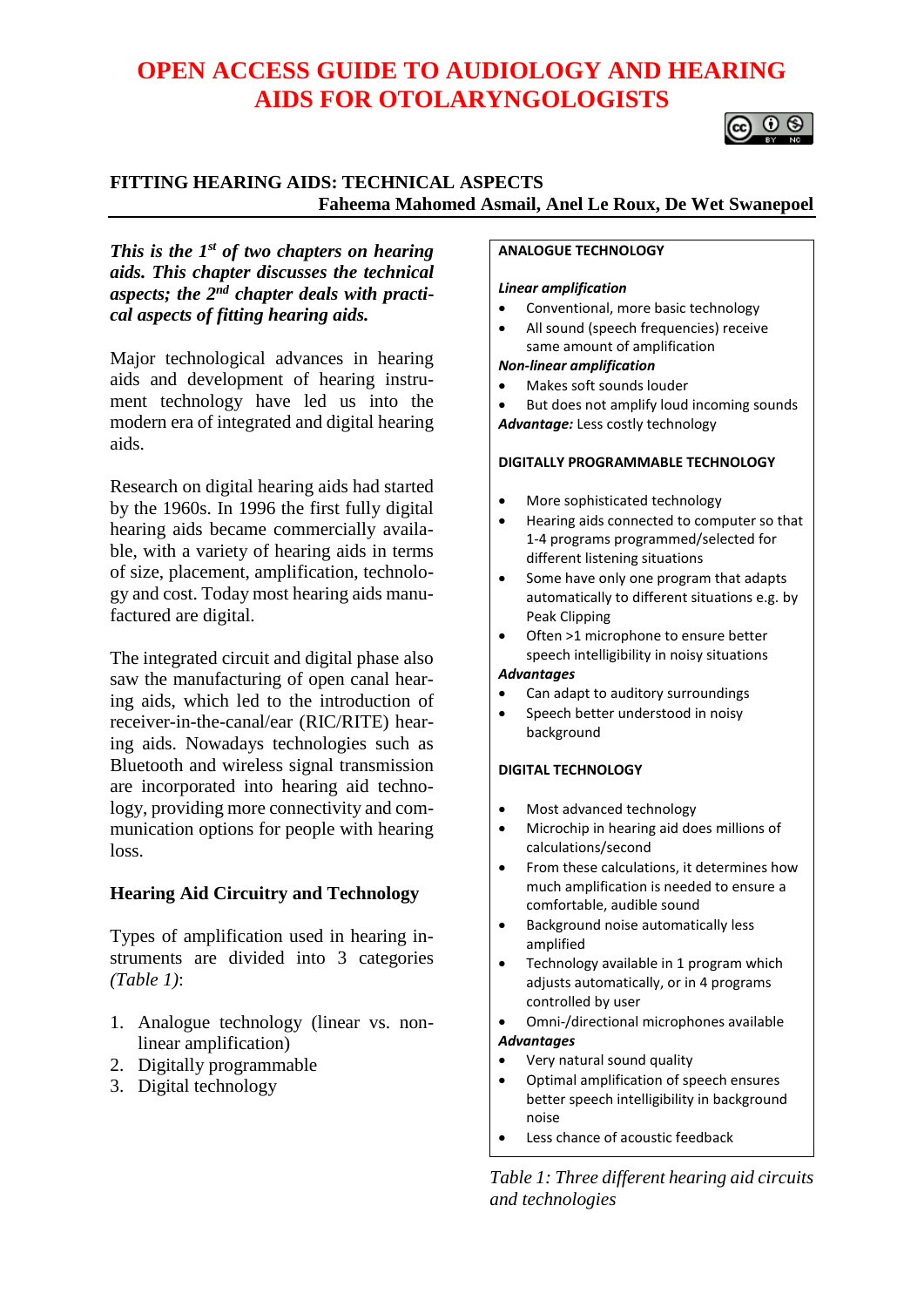# **OPEN ACCESS GUIDE TO AUDIOLOGY AND HEARING AIDS FOR OTOLARYNGOLOGISTS**



### **FITTING HEARING AIDS: TECHNICAL ASPECTS Faheema Mahomed Asmail, Anel Le Roux, De Wet Swanepoel**

*This is the 1st of two chapters on hearing aids. This chapter discusses the technical aspects; the 2nd chapter deals with practical aspects of fitting hearing aids.*

Major technological advances in hearing aids and development of hearing instrument technology have led us into the modern era of integrated and digital hearing aids.

Research on digital hearing aids had started by the 1960s. In 1996 the first fully digital hearing aids became commercially available, with a variety of hearing aids in terms of size, placement, amplification, technology and cost. Today most hearing aids manufactured are digital.

The integrated circuit and digital phase also saw the manufacturing of open canal hearing aids, which led to the introduction of receiver-in-the-canal/ear (RIC/RITE) hearing aids. Nowadays technologies such as Bluetooth and wireless signal transmission are incorporated into hearing aid technology, providing more connectivity and communication options for people with hearing loss.

### **Hearing Aid Circuitry and Technology**

Types of amplification used in hearing instruments are divided into 3 categories *(Table 1)*:

- 1. Analogue technology (linear vs. nonlinear amplification)
- 2. Digitally programmable
- 3. Digital technology

#### **ANALOGUE TECHNOLOGY**

#### *Linear amplification*

- Conventional, more basic technology
- All sound (speech frequencies) receive same amount of amplification

#### *Non-linear amplification*

- Makes soft sounds louder
- But does not amplify loud incoming sounds *Advantage:* Less costly technology

#### **DIGITALLY PROGRAMMABLE TECHNOLOGY**

- More sophisticated technology
- Hearing aids connected to computer so that 1-4 programs programmed/selected for different listening situations
- Some have only one program that adapts automatically to different situations e.g. by Peak Clipping
- Often >1 microphone to ensure better speech intelligibility in noisy situations

#### *Advantages*

- Can adapt to auditory surroundings
- Speech better understood in noisy background

#### **DIGITAL TECHNOLOGY**

- Most advanced technology
- Microchip in hearing aid does millions of calculations/second
- From these calculations, it determines how much amplification is needed to ensure a comfortable, audible sound
- Background noise automatically less amplified
- Technology available in 1 program which adjusts automatically, or in 4 programs controlled by user
- Omni-/directional microphones available *Advantages*
- Very natural sound quality
- Optimal amplification of speech ensures better speech intelligibility in background noise
- Less chance of acoustic feedback

*Table 1: Three different hearing aid circuits and technologies*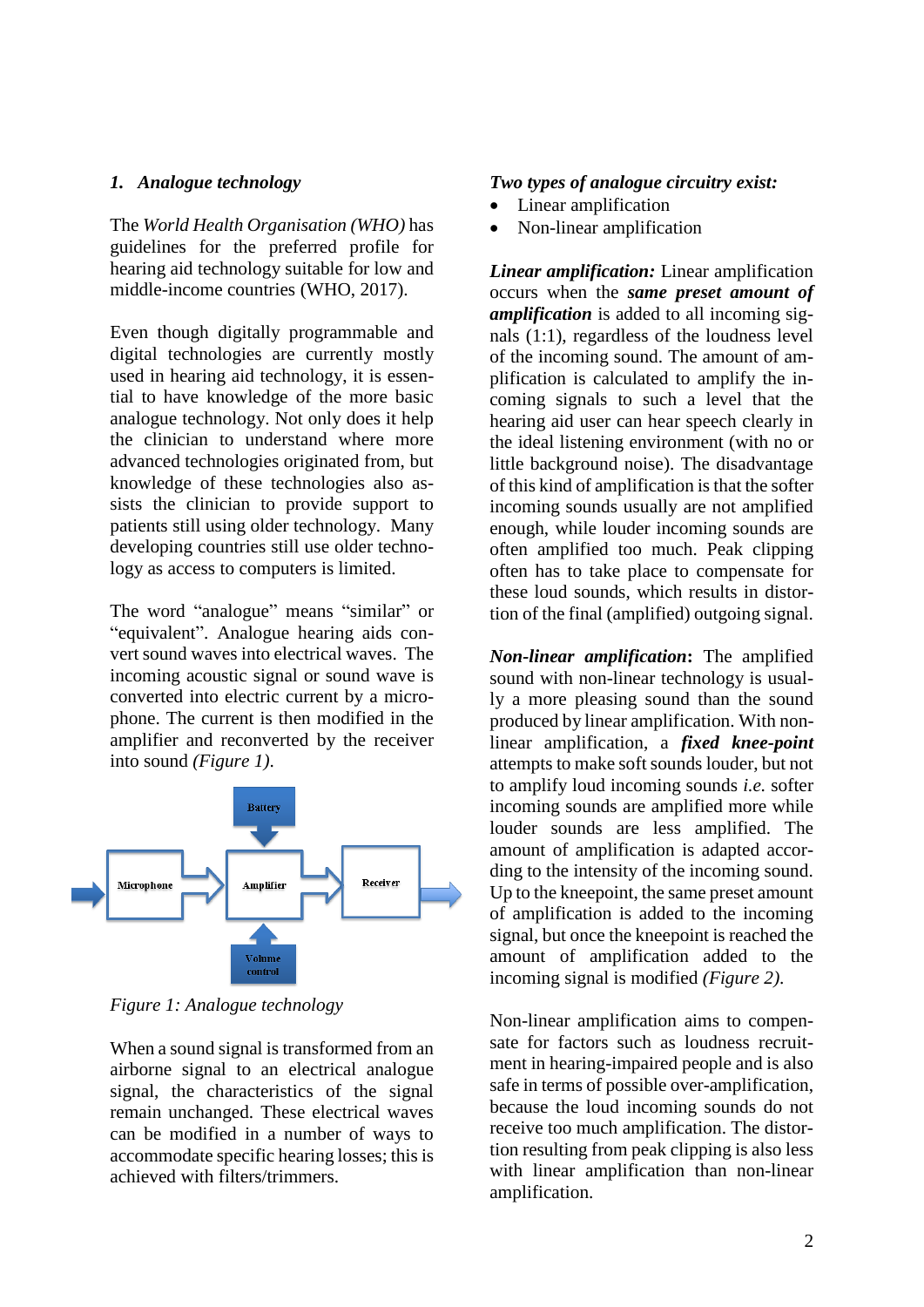### *1. Analogue technology*

The *World Health Organisation (WHO)* has guidelines for the preferred profile for hearing aid technology suitable for low and middle-income countries (WHO, 2017).

Even though digitally programmable and digital technologies are currently mostly used in hearing aid technology, it is essential to have knowledge of the more basic analogue technology. Not only does it help the clinician to understand where more advanced technologies originated from, but knowledge of these technologies also assists the clinician to provide support to patients still using older technology. Many developing countries still use older technology as access to computers is limited.

The word "analogue" means "similar" or "equivalent". Analogue hearing aids convert sound waves into electrical waves. The incoming acoustic signal or sound wave is converted into electric current by a microphone. The current is then modified in the amplifier and reconverted by the receiver into sound *(Figure 1)*.



*Figure 1: Analogue technology*

When a sound signal is transformed from an airborne signal to an electrical analogue signal, the characteristics of the signal remain unchanged. These electrical waves can be modified in a number of ways to accommodate specific hearing losses; this is achieved with filters/trimmers.

#### *Two types of analogue circuitry exist:*

- Linear amplification
- Non-linear amplification

*Linear amplification:* Linear amplification occurs when the *same preset amount of amplification* is added to all incoming signals (1:1), regardless of the loudness level of the incoming sound. The amount of amplification is calculated to amplify the incoming signals to such a level that the hearing aid user can hear speech clearly in the ideal listening environment (with no or little background noise). The disadvantage of this kind of amplification is that the softer incoming sounds usually are not amplified enough, while louder incoming sounds are often amplified too much. Peak clipping often has to take place to compensate for these loud sounds, which results in distortion of the final (amplified) outgoing signal.

*Non-linear amplification***:** The amplified sound with non-linear technology is usually a more pleasing sound than the sound produced by linear amplification. With nonlinear amplification, a *fixed knee-point* attempts to make soft sounds louder, but not to amplify loud incoming sounds *i.e.* softer incoming sounds are amplified more while louder sounds are less amplified. The amount of amplification is adapted according to the intensity of the incoming sound. Up to the kneepoint, the same preset amount of amplification is added to the incoming signal, but once the kneepoint is reached the amount of amplification added to the incoming signal is modified *(Figure 2)*.

Non-linear amplification aims to compensate for factors such as loudness recruitment in hearing-impaired people and is also safe in terms of possible over-amplification, because the loud incoming sounds do not receive too much amplification. The distortion resulting from peak clipping is also less with linear amplification than non-linear amplification.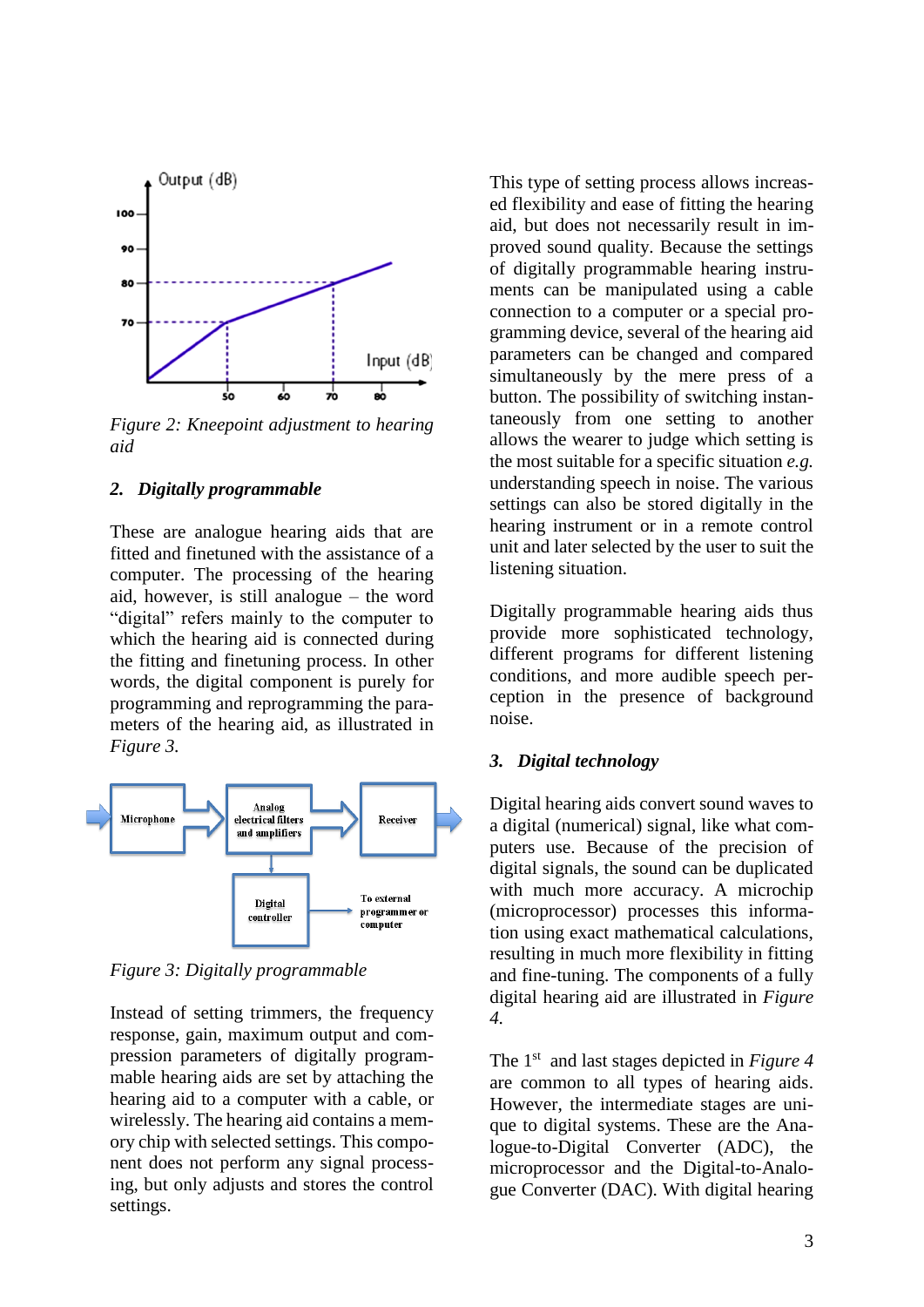

*Figure 2: Kneepoint adjustment to hearing aid* 

#### *2. Digitally programmable*

These are analogue hearing aids that are fitted and finetuned with the assistance of a computer. The processing of the hearing aid, however, is still analogue – the word "digital" refers mainly to the computer to which the hearing aid is connected during the fitting and finetuning process. In other words, the digital component is purely for programming and reprogramming the parameters of the hearing aid, as illustrated in *Figure 3.*



*Figure 3: Digitally programmable*

Instead of setting trimmers, the frequency response, gain, maximum output and compression parameters of digitally programmable hearing aids are set by attaching the hearing aid to a computer with a cable, or wirelessly. The hearing aid contains a memory chip with selected settings. This component does not perform any signal processing, but only adjusts and stores the control settings.

This type of setting process allows increased flexibility and ease of fitting the hearing aid, but does not necessarily result in improved sound quality. Because the settings of digitally programmable hearing instruments can be manipulated using a cable connection to a computer or a special programming device, several of the hearing aid parameters can be changed and compared simultaneously by the mere press of a button. The possibility of switching instantaneously from one setting to another allows the wearer to judge which setting is the most suitable for a specific situation *e.g.* understanding speech in noise. The various settings can also be stored digitally in the hearing instrument or in a remote control unit and later selected by the user to suit the listening situation.

Digitally programmable hearing aids thus provide more sophisticated technology, different programs for different listening conditions, and more audible speech perception in the presence of background noise.

#### *3. Digital technology*

Digital hearing aids convert sound waves to a digital (numerical) signal, like what computers use. Because of the precision of digital signals, the sound can be duplicated with much more accuracy. A microchip (microprocessor) processes this information using exact mathematical calculations, resulting in much more flexibility in fitting and fine-tuning. The components of a fully digital hearing aid are illustrated in *Figure 4.*

The 1<sup>st</sup> and last stages depicted in *Figure 4* are common to all types of hearing aids. However, the intermediate stages are unique to digital systems. These are the Analogue-to-Digital Converter (ADC), the microprocessor and the Digital-to-Analogue Converter (DAC). With digital hearing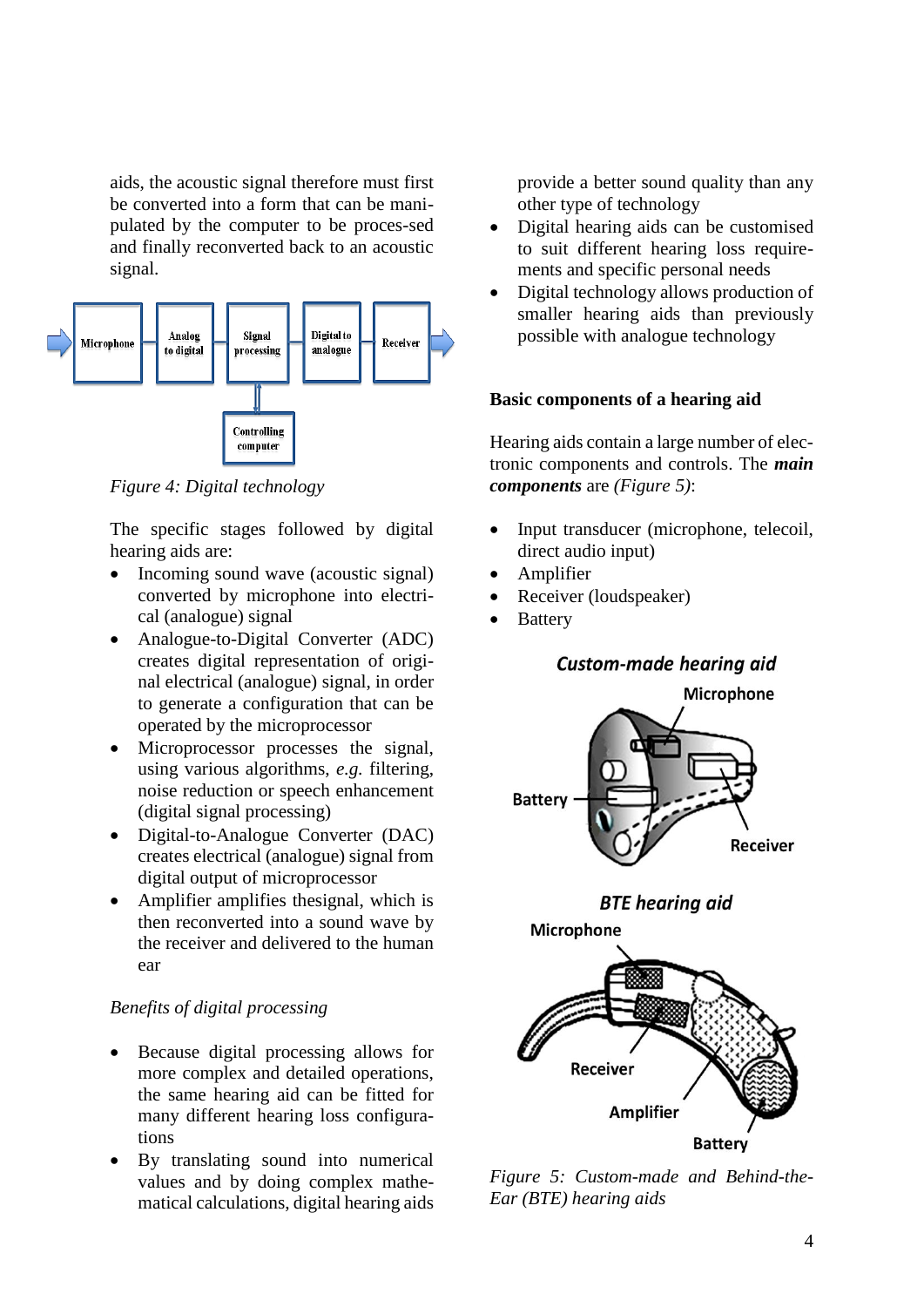aids, the acoustic signal therefore must first be converted into a form that can be manipulated by the computer to be proces-sed and finally reconverted back to an acoustic signal.



*Figure 4: Digital technology* 

The specific stages followed by digital hearing aids are:

- Incoming sound wave (acoustic signal) converted by microphone into electrical (analogue) signal
- Analogue-to-Digital Converter (ADC) creates digital representation of original electrical (analogue) signal, in order to generate a configuration that can be operated by the microprocessor
- Microprocessor processes the signal, using various algorithms, *e.g.* filtering, noise reduction or speech enhancement (digital signal processing)
- Digital-to-Analogue Converter (DAC) creates electrical (analogue) signal from digital output of microprocessor
- Amplifier amplifies thesignal, which is then reconverted into a sound wave by the receiver and delivered to the human ear

### *Benefits of digital processing*

- Because digital processing allows for more complex and detailed operations, the same hearing aid can be fitted for many different hearing loss configurations
- By translating sound into numerical values and by doing complex mathematical calculations, digital hearing aids

provide a better sound quality than any other type of technology

- Digital hearing aids can be customised to suit different hearing loss requirements and specific personal needs
- Digital technology allows production of smaller hearing aids than previously possible with analogue technology

### **Basic components of a hearing aid**

Hearing aids contain a large number of electronic components and controls. The *main components* are *(Figure 5)*:

- Input transducer (microphone, telecoil, direct audio input)
- **Amplifier**
- Receiver (loudspeaker)
- **Battery**





*Figure 5: Custom-made and Behind-the-Ear (BTE) hearing aids*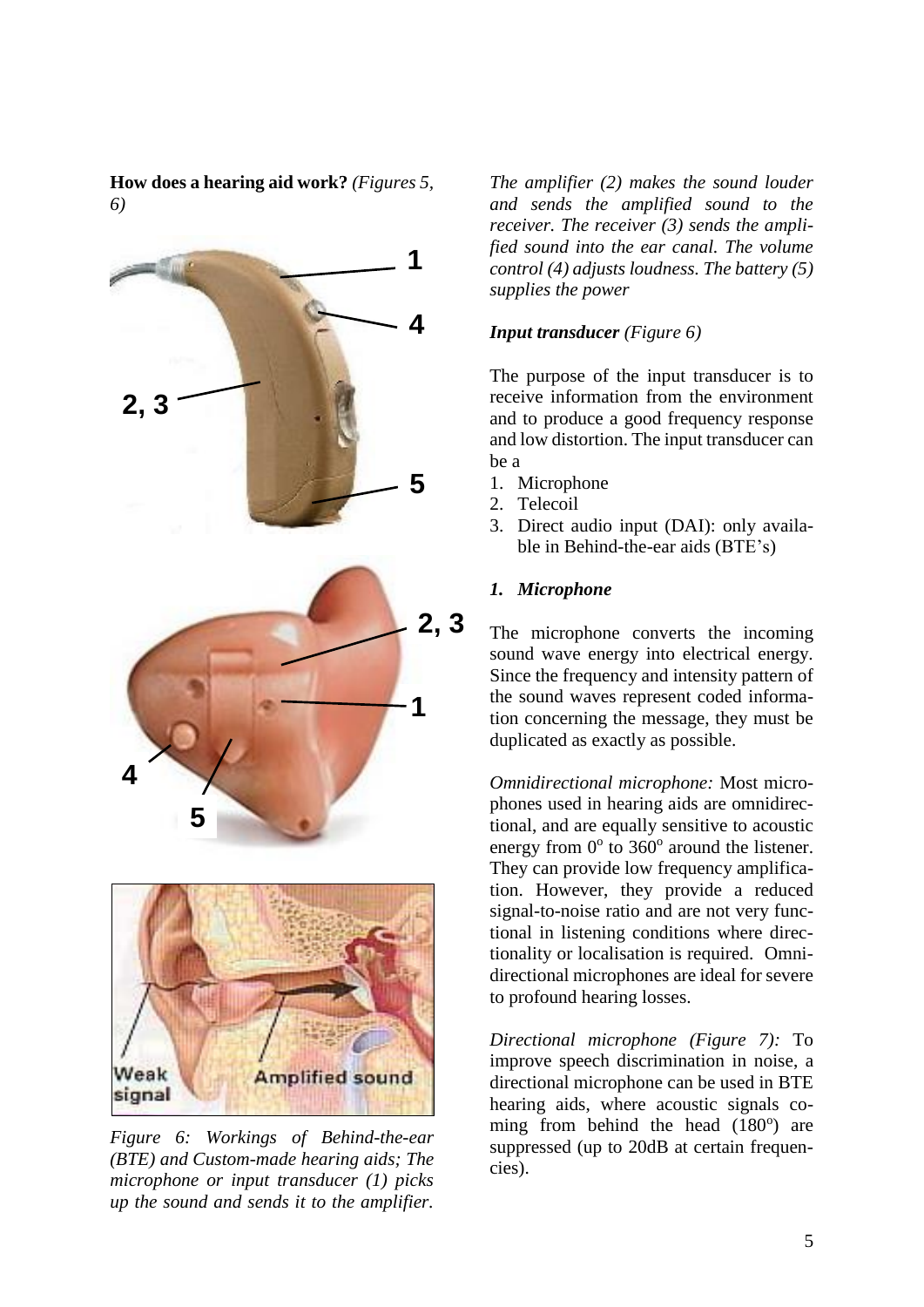**How does a hearing aid work?** *(Figures 5, 6)*



*Figure 6: Workings of Behind-the-ear (BTE) and Custom-made hearing aids; The microphone or input transducer (1) picks up the sound and sends it to the amplifier.* 

*The amplifier (2) makes the sound louder and sends the amplified sound to the receiver. The receiver (3) sends the amplified sound into the ear canal. The volume control (4) adjusts loudness. The battery (5) supplies the power*

#### *Input transducer (Figure 6)*

The purpose of the input transducer is to receive information from the environment and to produce a good frequency response and low distortion. The input transducer can be a

- 1. Microphone
- 2. Telecoil
- 3. Direct audio input (DAI): only available in Behind-the-ear aids (BTE's)

#### *1. Microphone*

The microphone converts the incoming sound wave energy into electrical energy. Since the frequency and intensity pattern of the sound waves represent coded information concerning the message, they must be duplicated as exactly as possible.

*Omnidirectional microphone:* Most microphones used in hearing aids are omnidirectional, and are equally sensitive to acoustic energy from  $0^{\circ}$  to  $360^{\circ}$  around the listener. They can provide low frequency amplification. However, they provide a reduced signal-to-noise ratio and are not very functional in listening conditions where directionality or localisation is required. Omnidirectional microphones are ideal for severe to profound hearing losses.

*Directional microphone (Figure 7):* To improve speech discrimination in noise, a directional microphone can be used in BTE hearing aids, where acoustic signals coming from behind the head  $(180^\circ)$  are suppressed (up to 20dB at certain frequencies).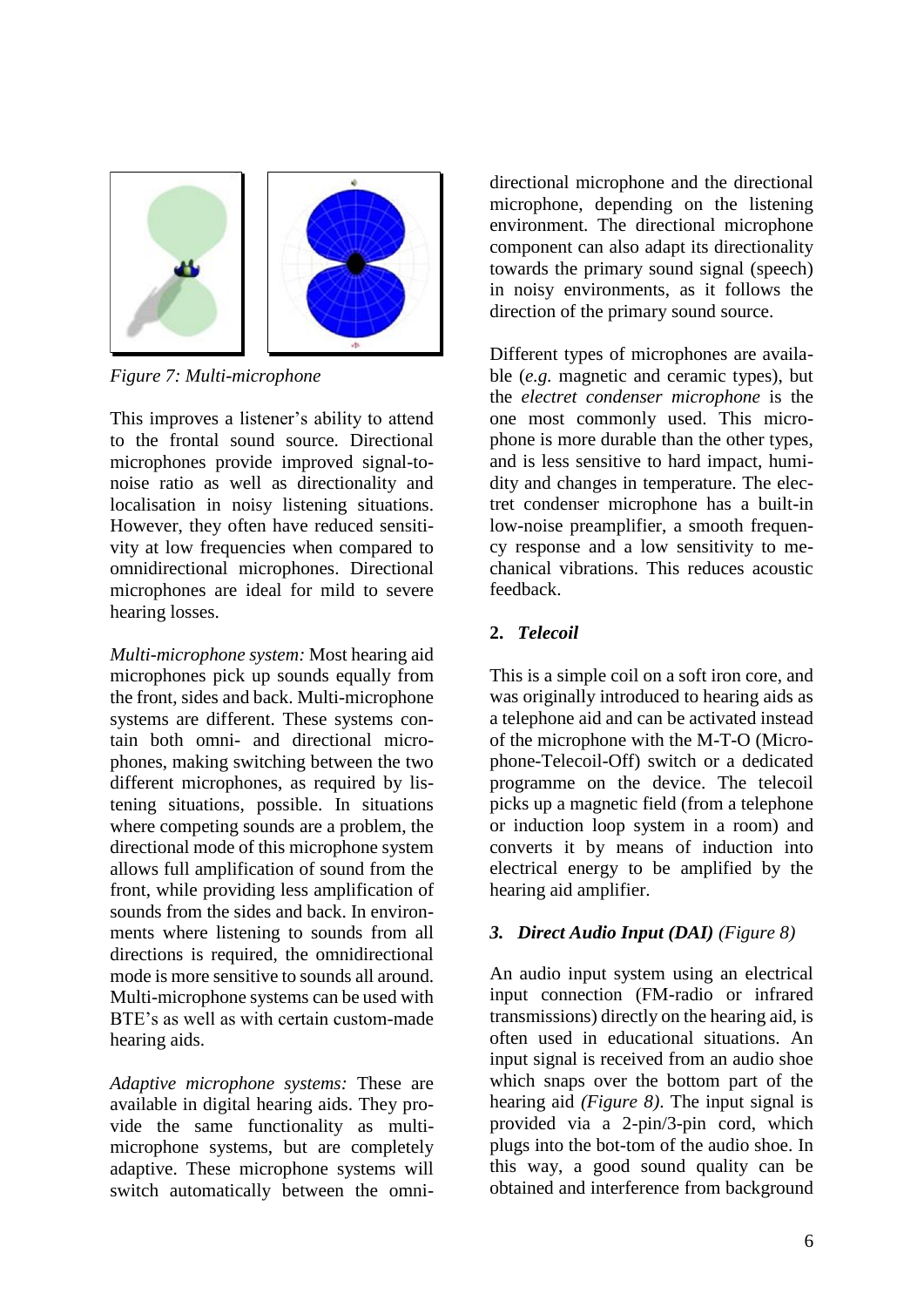

*Figure 7: Multi-microphone*

This improves a listener's ability to attend to the frontal sound source. Directional microphones provide improved signal-tonoise ratio as well as directionality and localisation in noisy listening situations. However, they often have reduced sensitivity at low frequencies when compared to omnidirectional microphones. Directional microphones are ideal for mild to severe hearing losses.

*Multi-microphone system:* Most hearing aid microphones pick up sounds equally from the front, sides and back. Multi-microphone systems are different. These systems contain both omni- and directional microphones, making switching between the two different microphones, as required by listening situations, possible. In situations where competing sounds are a problem, the directional mode of this microphone system allows full amplification of sound from the front, while providing less amplification of sounds from the sides and back. In environments where listening to sounds from all directions is required, the omnidirectional mode is more sensitive to sounds all around. Multi-microphone systems can be used with BTE's as well as with certain custom-made hearing aids.

*Adaptive microphone systems:* These are available in digital hearing aids. They provide the same functionality as multimicrophone systems, but are completely adaptive. These microphone systems will switch automatically between the omnidirectional microphone and the directional microphone, depending on the listening environment. The directional microphone component can also adapt its directionality towards the primary sound signal (speech) in noisy environments, as it follows the direction of the primary sound source.

Different types of microphones are available (*e.g.* magnetic and ceramic types), but the *electret condenser microphone* is the one most commonly used. This microphone is more durable than the other types, and is less sensitive to hard impact, humidity and changes in temperature. The electret condenser microphone has a built-in low-noise preamplifier, a smooth frequency response and a low sensitivity to mechanical vibrations. This reduces acoustic feedback.

# **2.** *Telecoil*

This is a simple coil on a soft iron core, and was originally introduced to hearing aids as a telephone aid and can be activated instead of the microphone with the M-T-O (Microphone-Telecoil-Off) switch or a dedicated programme on the device. The telecoil picks up a magnetic field (from a telephone or induction loop system in a room) and converts it by means of induction into electrical energy to be amplified by the hearing aid amplifier.

# *3. Direct Audio Input (DAI) (Figure 8)*

An audio input system using an electrical input connection (FM-radio or infrared transmissions) directly on the hearing aid, is often used in educational situations. An input signal is received from an audio shoe which snaps over the bottom part of the hearing aid *(Figure 8)*. The input signal is provided via a 2-pin/3-pin cord, which plugs into the bot-tom of the audio shoe. In this way, a good sound quality can be obtained and interference from background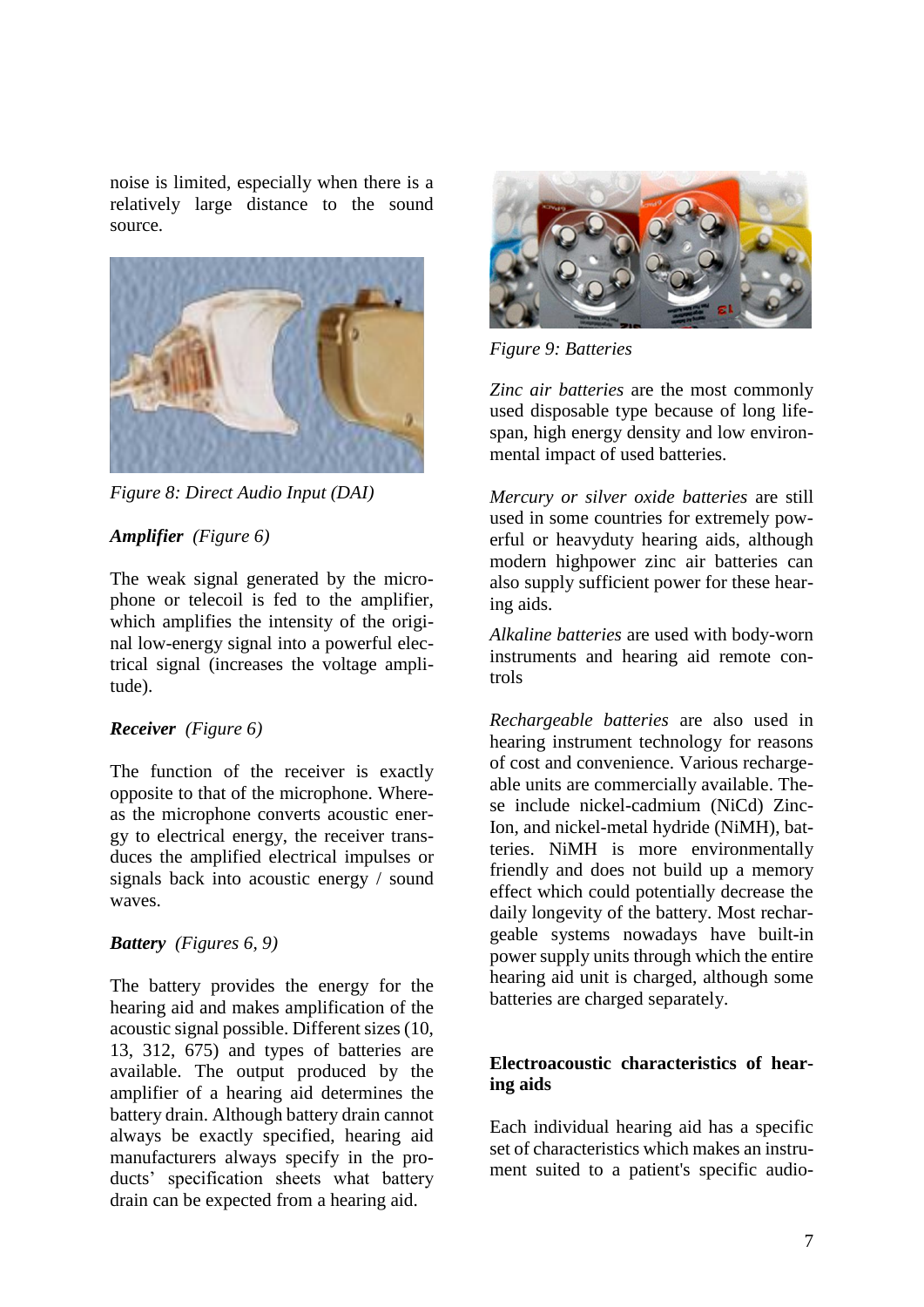noise is limited, especially when there is a relatively large distance to the sound source.



*Figure 8: Direct Audio Input (DAI)*

# *Amplifier (Figure 6)*

The weak signal generated by the microphone or telecoil is fed to the amplifier, which amplifies the intensity of the original low-energy signal into a powerful electrical signal (increases the voltage amplitude).

### *Receiver (Figure 6)*

The function of the receiver is exactly opposite to that of the microphone. Whereas the microphone converts acoustic energy to electrical energy, the receiver transduces the amplified electrical impulses or signals back into acoustic energy / sound waves.

#### *Battery (Figures 6, 9)*

The battery provides the energy for the hearing aid and makes amplification of the acoustic signal possible. Different sizes (10, 13, 312, 675) and types of batteries are available. The output produced by the amplifier of a hearing aid determines the battery drain. Although battery drain cannot always be exactly specified, hearing aid manufacturers always specify in the products' specification sheets what battery drain can be expected from a hearing aid.



*Figure 9: Batteries*

*Zinc air batteries* are the most commonly used disposable type because of long lifespan, high energy density and low environmental impact of used batteries.

*Mercury or silver oxide batteries* are still used in some countries for extremely powerful or heavyduty hearing aids, although modern highpower zinc air batteries can also supply sufficient power for these hearing aids.

*Alkaline batteries* are used with body-worn instruments and hearing aid remote controls

*Rechargeable batteries* are also used in hearing instrument technology for reasons of cost and convenience. Various rechargeable units are commercially available. These include nickel-cadmium (NiCd) Zinc-Ion, and nickel-metal hydride (NiMH), batteries. NiMH is more environmentally friendly and does not build up a memory effect which could potentially decrease the daily longevity of the battery. Most rechargeable systems nowadays have built-in power supply units through which the entire hearing aid unit is charged, although some batteries are charged separately.

### **Electroacoustic characteristics of hearing aids**

Each individual hearing aid has a specific set of characteristics which makes an instrument suited to a patient's specific audio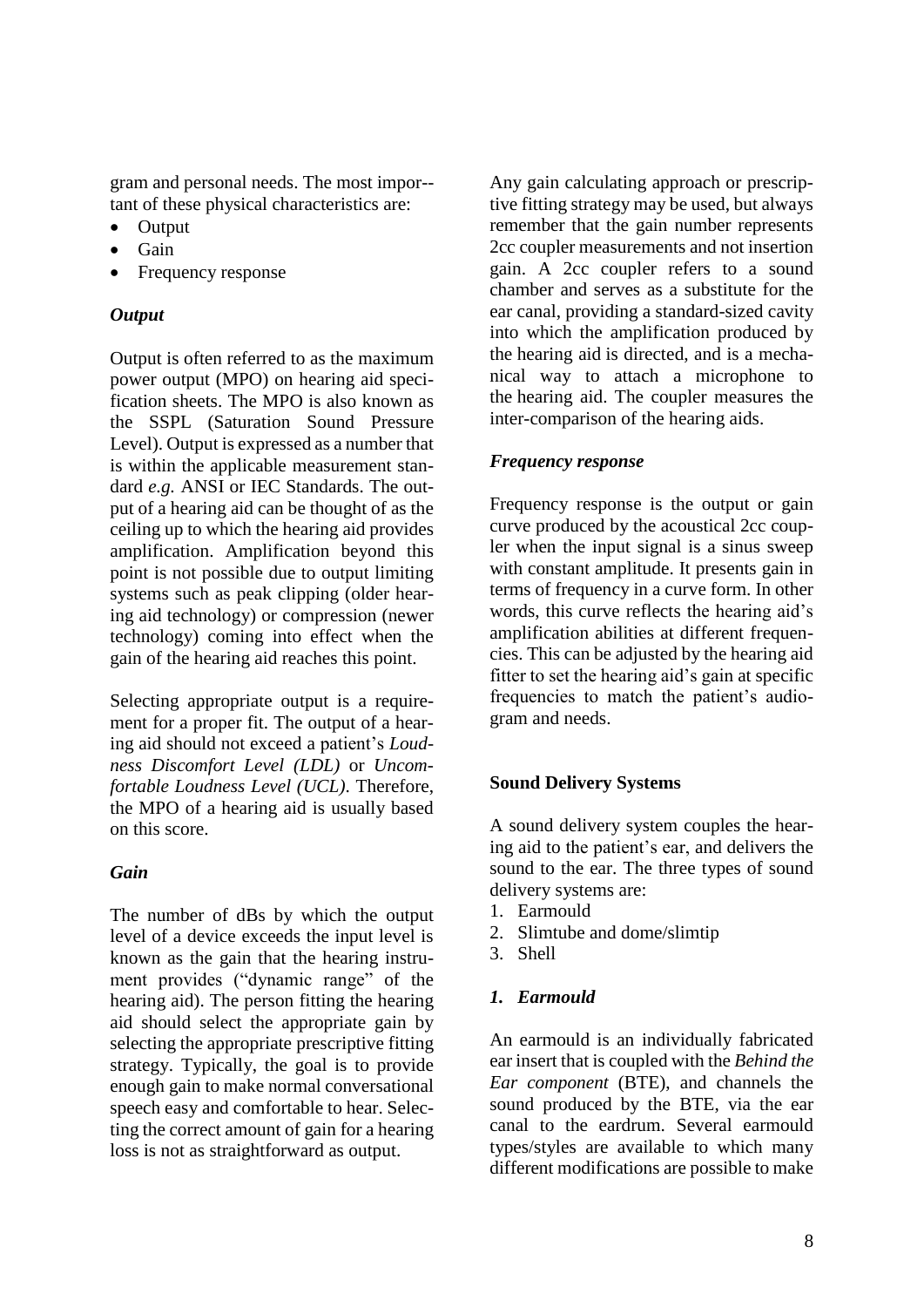gram and personal needs. The most impor- tant of these physical characteristics are:

- Output
- Gain
- Frequency response

# *Output*

Output is often referred to as the maximum power output (MPO) on hearing aid specification sheets. The MPO is also known as the SSPL (Saturation Sound Pressure Level). Output is expressed as a number that is within the applicable measurement standard *e.g.* ANSI or IEC Standards. The output of a hearing aid can be thought of as the ceiling up to which the hearing aid provides amplification. Amplification beyond this point is not possible due to output limiting systems such as peak clipping (older hearing aid technology) or compression (newer technology) coming into effect when the gain of the hearing aid reaches this point.

Selecting appropriate output is a requirement for a proper fit. The output of a hearing aid should not exceed a patient's *Loudness Discomfort Level (LDL)* or *Uncomfortable Loudness Level (UCL)*. Therefore, the MPO of a hearing aid is usually based on this score.

# *Gain*

The number of dBs by which the output level of a device exceeds the input level is known as the gain that the hearing instrument provides ("dynamic range" of the hearing aid). The person fitting the hearing aid should select the appropriate gain by selecting the appropriate prescriptive fitting strategy. Typically, the goal is to provide enough gain to make normal conversational speech easy and comfortable to hear. Selecting the correct amount of gain for a hearing loss is not as straightforward as output.

Any gain calculating approach or prescriptive fitting strategy may be used, but always remember that the gain number represents 2cc coupler measurements and not insertion gain. A 2cc coupler refers to a sound chamber and serves as a substitute for the ear canal, providing a standard-sized cavity into which the amplification produced by the hearing aid is directed, and is a mechanical way to attach a microphone to the hearing aid. The coupler measures the inter-comparison of the hearing aids.

# *Frequency response*

Frequency response is the output or gain curve produced by the acoustical 2cc coupler when the input signal is a sinus sweep with constant amplitude. It presents gain in terms of frequency in a curve form. In other words, this curve reflects the hearing aid's amplification abilities at different frequencies. This can be adjusted by the hearing aid fitter to set the hearing aid's gain at specific frequencies to match the patient's audiogram and needs.

# **Sound Delivery Systems**

A sound delivery system couples the hearing aid to the patient's ear, and delivers the sound to the ear. The three types of sound delivery systems are:

- 1. Earmould
- 2. Slimtube and dome/slimtip
- 3. Shell

# *1. Earmould*

An earmould is an individually fabricated ear insert that is coupled with the *Behind the Ear component* (BTE), and channels the sound produced by the BTE, via the ear canal to the eardrum. Several earmould types/styles are available to which many different modifications are possible to make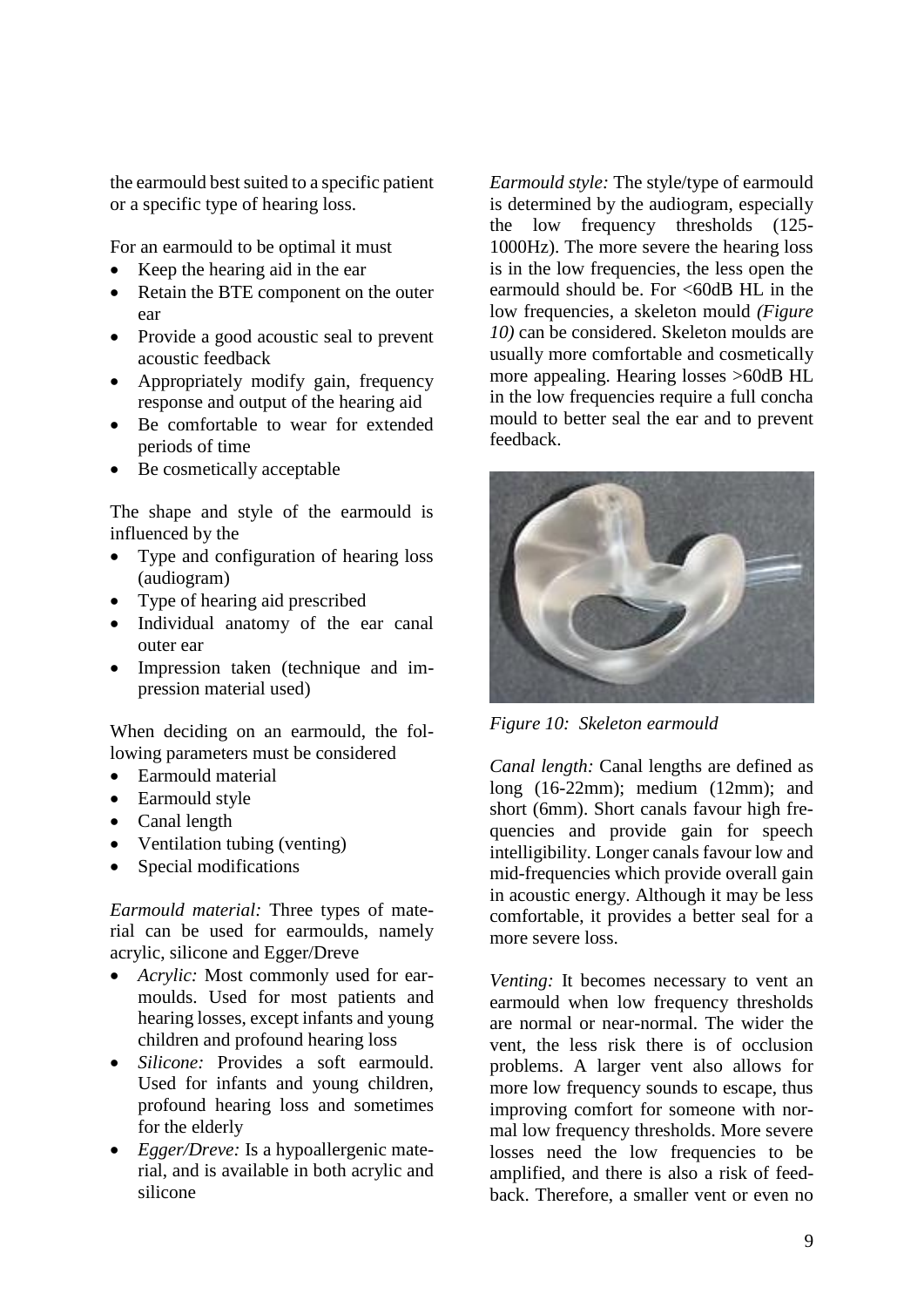the earmould best suited to a specific patient or a specific type of hearing loss.

For an earmould to be optimal it must

- Keep the hearing aid in the ear
- Retain the BTE component on the outer ear
- Provide a good acoustic seal to prevent acoustic feedback
- Appropriately modify gain, frequency response and output of the hearing aid
- Be comfortable to wear for extended periods of time
- Be cosmetically acceptable

The shape and style of the earmould is influenced by the

- Type and configuration of hearing loss (audiogram)
- Type of hearing aid prescribed
- Individual anatomy of the ear canal outer ear
- Impression taken (technique and impression material used)

When deciding on an earmould, the following parameters must be considered

- Earmould material
- Earmould style
- Canal length
- Ventilation tubing (venting)
- Special modifications

*Earmould material:* Three types of material can be used for earmoulds, namely acrylic, silicone and Egger/Dreve

- *Acrylic:* Most commonly used for earmoulds. Used for most patients and hearing losses, except infants and young children and profound hearing loss
- *Silicone:* Provides a soft earmould. Used for infants and young children, profound hearing loss and sometimes for the elderly
- *Egger/Dreve:* Is a hypoallergenic material, and is available in both acrylic and silicone

*Earmould style:* The style/type of earmould is determined by the audiogram, especially the low frequency thresholds (125- 1000Hz). The more severe the hearing loss is in the low frequencies, the less open the earmould should be. For <60dB HL in the low frequencies, a skeleton mould *(Figure 10)* can be considered. Skeleton moulds are usually more comfortable and cosmetically more appealing. Hearing losses >60dB HL in the low frequencies require a full concha mould to better seal the ear and to prevent feedback.



*Figure 10: Skeleton earmould* 

*Canal length:* Canal lengths are defined as long (16-22mm); medium (12mm); and short (6mm). Short canals favour high frequencies and provide gain for speech intelligibility. Longer canals favour low and mid-frequencies which provide overall gain in acoustic energy. Although it may be less comfortable, it provides a better seal for a more severe loss.

*Venting:* It becomes necessary to vent an earmould when low frequency thresholds are normal or near-normal. The wider the vent, the less risk there is of occlusion problems. A larger vent also allows for more low frequency sounds to escape, thus improving comfort for someone with normal low frequency thresholds. More severe losses need the low frequencies to be amplified, and there is also a risk of feedback. Therefore, a smaller vent or even no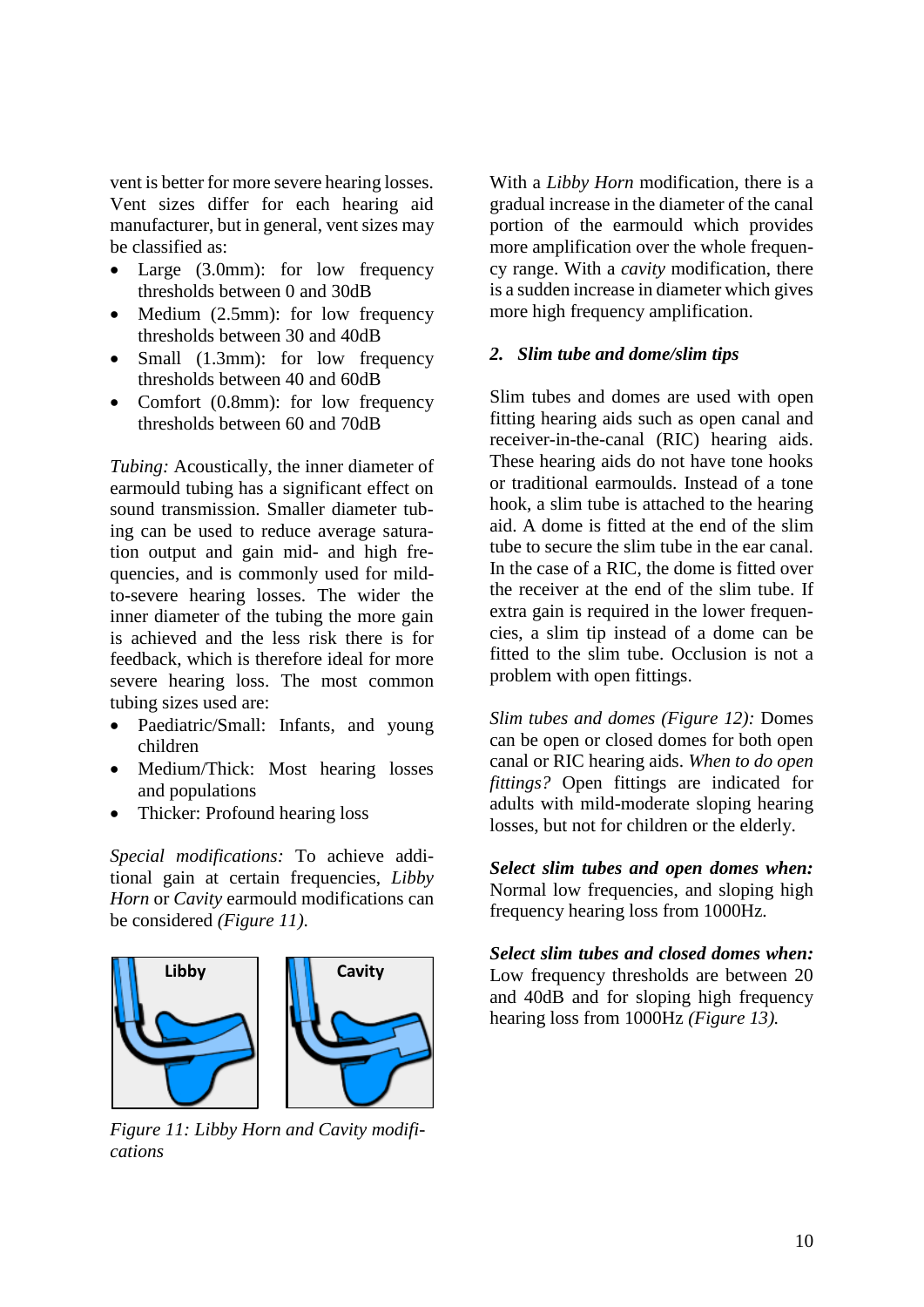vent is better for more severe hearing losses. Vent sizes differ for each hearing aid manufacturer, but in general, vent sizes may be classified as:

- Large (3.0mm): for low frequency thresholds between 0 and 30dB
- Medium (2.5mm): for low frequency thresholds between 30 and 40dB
- Small (1.3mm): for low frequency thresholds between 40 and 60dB
- Comfort (0.8mm): for low frequency thresholds between 60 and 70dB

*Tubing:* Acoustically, the inner diameter of earmould tubing has a significant effect on sound transmission. Smaller diameter tubing can be used to reduce average saturation output and gain mid- and high frequencies, and is commonly used for mildto-severe hearing losses. The wider the inner diameter of the tubing the more gain is achieved and the less risk there is for feedback, which is therefore ideal for more severe hearing loss. The most common tubing sizes used are:

- Paediatric/Small: Infants, and young children
- Medium/Thick: Most hearing losses and populations
- Thicker: Profound hearing loss

*Special modifications:* To achieve additional gain at certain frequencies, *Libby Horn* or *Cavity* earmould modifications can be considered *(Figure 11)*.



*Figure 11: Libby Horn and Cavity modifications*

With a *Libby Horn* modification, there is a gradual increase in the diameter of the canal portion of the earmould which provides more amplification over the whole frequency range. With a *cavity* modification, there is a sudden increase in diameter which gives more high frequency amplification.

#### *2. Slim tube and dome/slim tips*

Slim tubes and domes are used with open fitting hearing aids such as open canal and receiver-in-the-canal (RIC) hearing aids. These hearing aids do not have tone hooks or traditional earmoulds. Instead of a tone hook, a slim tube is attached to the hearing aid. A dome is fitted at the end of the slim tube to secure the slim tube in the ear canal. In the case of a RIC, the dome is fitted over the receiver at the end of the slim tube. If extra gain is required in the lower frequencies, a slim tip instead of a dome can be fitted to the slim tube. Occlusion is not a problem with open fittings.

*Slim tubes and domes (Figure 12):* Domes can be open or closed domes for both open canal or RIC hearing aids. *When to do open fittings?* Open fittings are indicated for adults with mild-moderate sloping hearing losses, but not for children or the elderly.

*Select slim tubes and open domes when:*  Normal low frequencies, and sloping high frequency hearing loss from 1000Hz*.*

*Select slim tubes and closed domes when:* Low frequency thresholds are between 20 and 40dB and for sloping high frequency hearing loss from 1000Hz *(Figure 13).*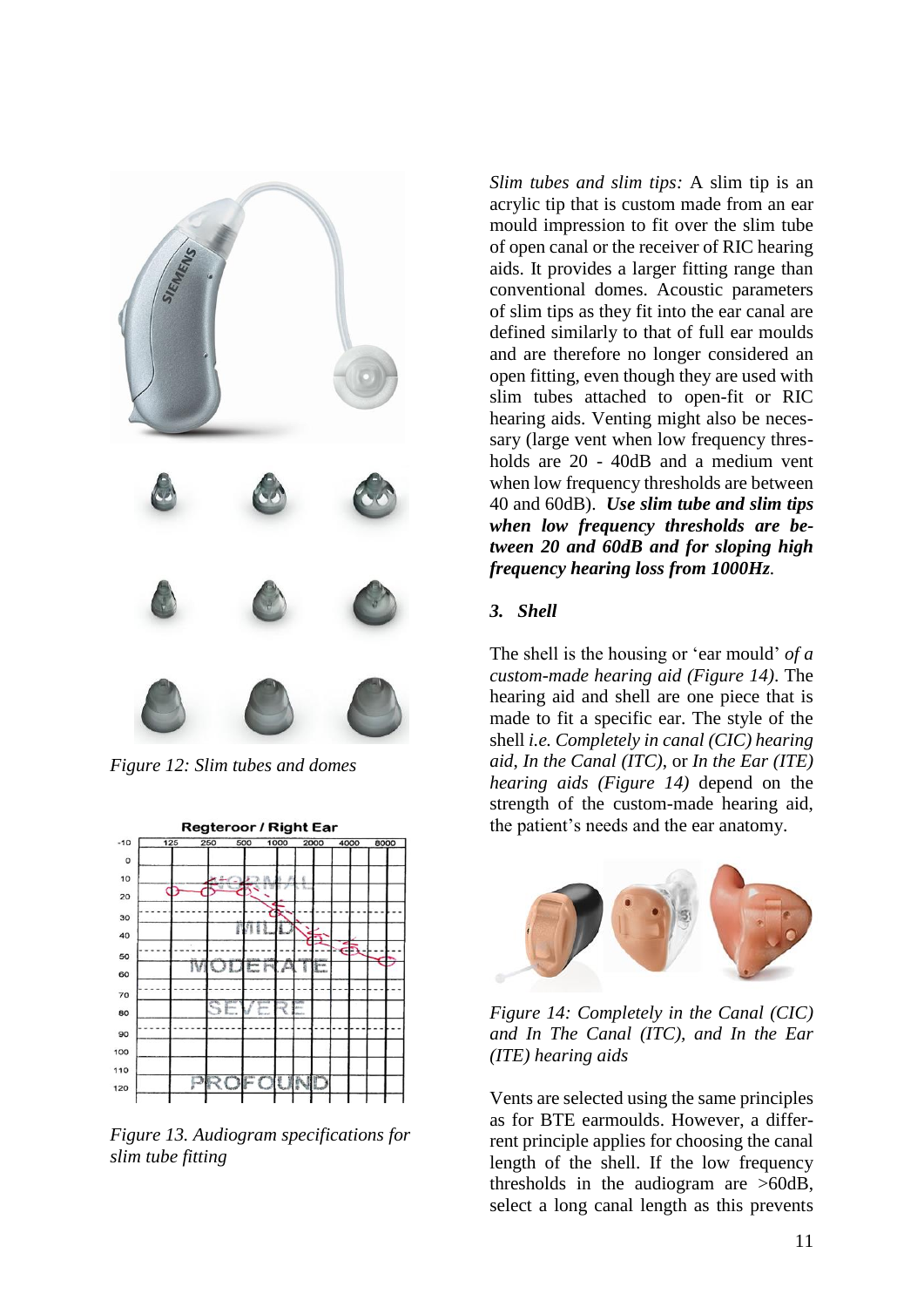

*Figure 12: Slim tubes and domes*



*Figure 13. Audiogram specifications for slim tube fitting*

*Slim tubes and slim tips:* A slim tip is an acrylic tip that is custom made from an ear mould impression to fit over the slim tube of open canal or the receiver of RIC hearing aids. It provides a larger fitting range than conventional domes. Acoustic parameters of slim tips as they fit into the ear canal are defined similarly to that of full ear moulds and are therefore no longer considered an open fitting, even though they are used with slim tubes attached to open-fit or RIC hearing aids. Venting might also be necessary (large vent when low frequency thresholds are 20 - 40dB and a medium vent when low frequency thresholds are between 40 and 60dB). *Use slim tube and slim tips when low frequency thresholds are between 20 and 60dB and for sloping high frequency hearing loss from 1000Hz.*

### *3. Shell*

The shell is the housing or 'ear mould' *of a custom-made hearing aid (Figure 14)*. The hearing aid and shell are one piece that is made to fit a specific ear. The style of the shell *i.e. Completely in canal (CIC) hearing aid*, *In the Canal (ITC)*, or *In the Ear (ITE) hearing aids (Figure 14)* depend on the strength of the custom-made hearing aid, the patient's needs and the ear anatomy.



*Figure 14: Completely in the Canal (CIC) and In The Canal (ITC), and In the Ear (ITE) hearing aids*

Vents are selected using the same principles as for BTE earmoulds. However, a differrent principle applies for choosing the canal length of the shell. If the low frequency thresholds in the audiogram are >60dB, select a long canal length as this prevents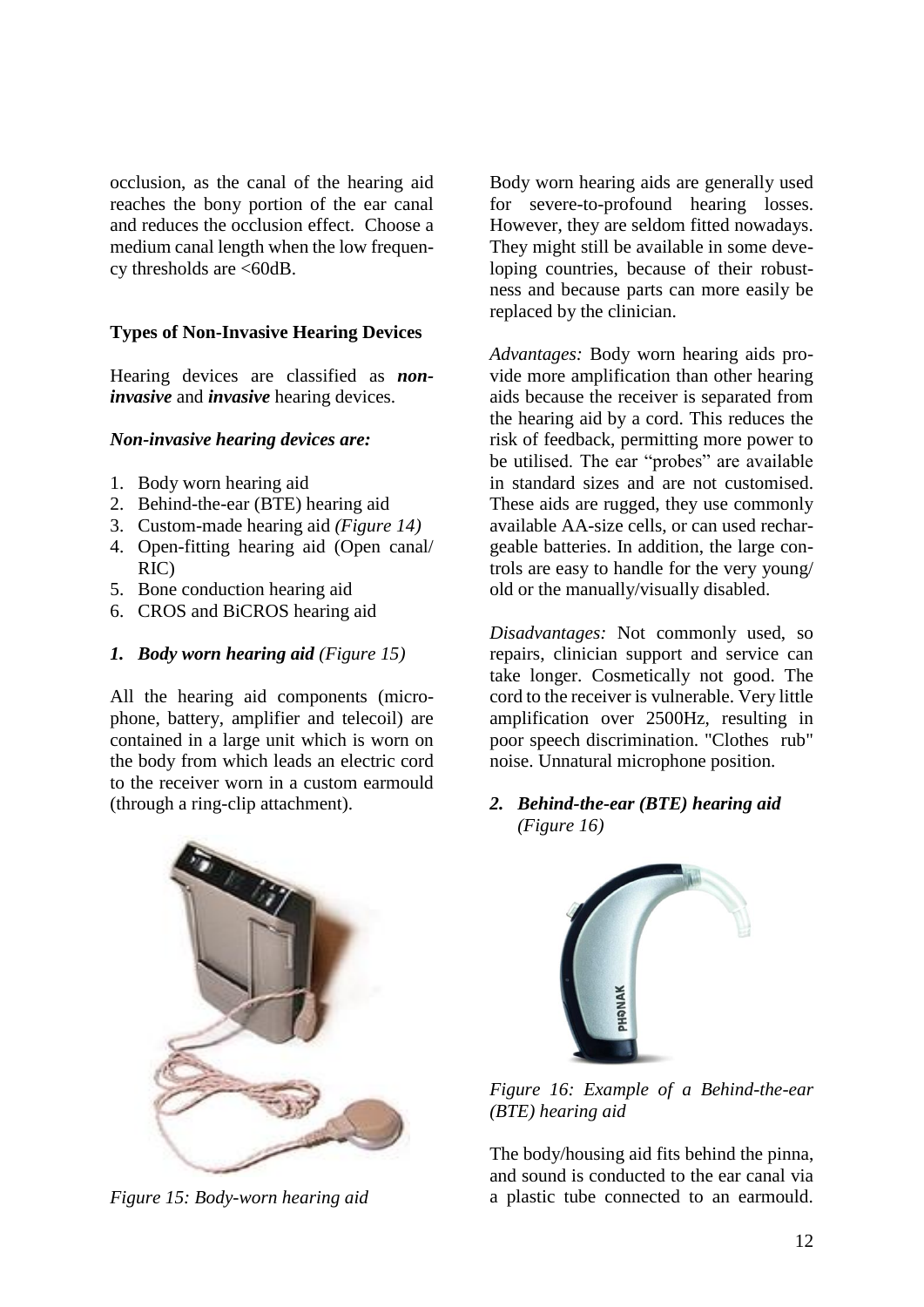occlusion, as the canal of the hearing aid reaches the bony portion of the ear canal and reduces the occlusion effect. Choose a medium canal length when the low frequency thresholds are <60dB.

### **Types of Non-Invasive Hearing Devices**

Hearing devices are classified as *noninvasive* and *invasive* hearing devices.

### *Non-invasive hearing devices are:*

- 1. Body worn hearing aid
- 2. Behind-the-ear (BTE) hearing aid
- 3. Custom-made hearing aid *(Figure 14)*
- 4. Open-fitting hearing aid (Open canal/ RIC)
- 5. Bone conduction hearing aid
- 6. CROS and BiCROS hearing aid

### *1. Body worn hearing aid (Figure 15)*

All the hearing aid components (microphone, battery, amplifier and telecoil) are contained in a large unit which is worn on the body from which leads an electric cord to the receiver worn in a custom earmould (through a ring-clip attachment).

Body worn hearing aids are generally used for severe-to-profound hearing losses. However, they are seldom fitted nowadays. They might still be available in some developing countries, because of their robustness and because parts can more easily be replaced by the clinician.

*Advantages:* Body worn hearing aids provide more amplification than other hearing aids because the receiver is separated from the hearing aid by a cord. This reduces the risk of feedback, permitting more power to be utilised. The ear "probes" are available in standard sizes and are not customised. These aids are rugged, they use commonly available AA-size cells, or can used rechargeable batteries. In addition, the large controls are easy to handle for the very young/ old or the manually/visually disabled.

*Disadvantages:* Not commonly used, so repairs, clinician support and service can take longer. Cosmetically not good. The cord to the receiver is vulnerable. Very little amplification over 2500Hz, resulting in poor speech discrimination. "Clothes rub" noise. Unnatural microphone position.

*2. Behind-the-ear (BTE) hearing aid (Figure 16)*



*Figure 15: Body-worn hearing aid* 



*Figure 16: Example of a Behind-the-ear (BTE) hearing aid*

The body/housing aid fits behind the pinna, and sound is conducted to the ear canal via a plastic tube connected to an earmould.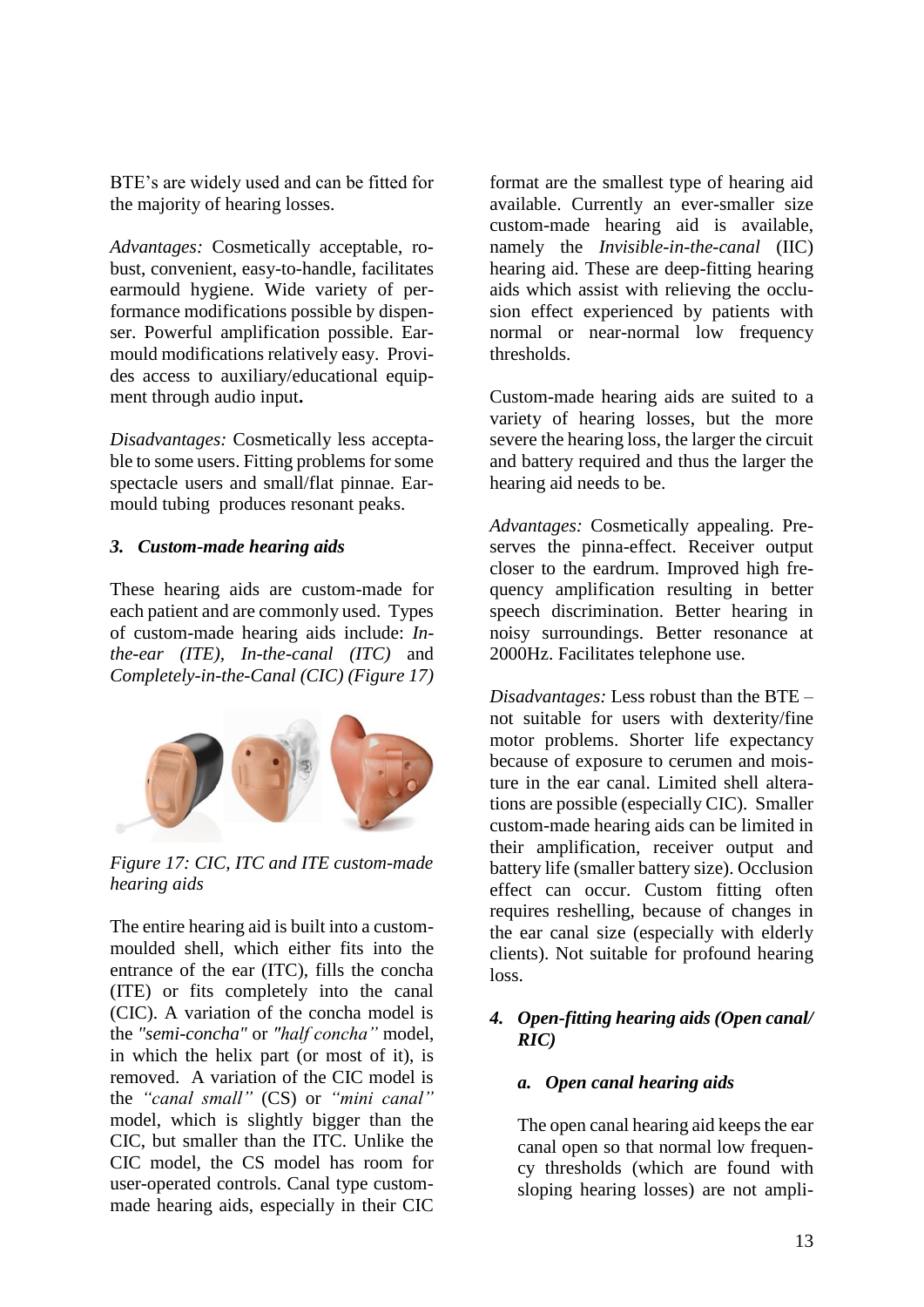BTE's are widely used and can be fitted for the majority of hearing losses.

*Advantages:* Cosmetically acceptable, robust, convenient, easy-to-handle, facilitates earmould hygiene. Wide variety of performance modifications possible by dispenser. Powerful amplification possible. Earmould modifications relatively easy. Provides access to auxiliary/educational equipment through audio input**.**

*Disadvantages:* Cosmetically less acceptable to some users. Fitting problems for some spectacle users and small/flat pinnae. Earmould tubing produces resonant peaks.

### *3. Custom-made hearing aids*

These hearing aids are custom-made for each patient and are commonly used. Types of custom-made hearing aids include: *Inthe-ear (ITE), In-the-canal (ITC)* and *Completely-in-the-Canal (CIC) (Figure 17)*



*Figure 17: CIC, ITC and ITE custom-made hearing aids*

The entire hearing aid is built into a custommoulded shell, which either fits into the entrance of the ear (ITC), fills the concha (ITE) or fits completely into the canal (CIC). A variation of the concha model is the *"semi-concha"* or *"half concha"* model, in which the helix part (or most of it), is removed. A variation of the CIC model is the *"canal small"* (CS) or *"mini canal"* model, which is slightly bigger than the CIC, but smaller than the ITC. Unlike the CIC model, the CS model has room for user-operated controls. Canal type custommade hearing aids, especially in their CIC

format are the smallest type of hearing aid available. Currently an ever-smaller size custom-made hearing aid is available, namely the *Invisible-in-the-canal* (IIC) hearing aid. These are deep-fitting hearing aids which assist with relieving the occlusion effect experienced by patients with normal or near-normal low frequency thresholds.

Custom-made hearing aids are suited to a variety of hearing losses, but the more severe the hearing loss, the larger the circuit and battery required and thus the larger the hearing aid needs to be.

*Advantages:* Cosmetically appealing. Preserves the pinna-effect. Receiver output closer to the eardrum. Improved high frequency amplification resulting in better speech discrimination. Better hearing in noisy surroundings. Better resonance at 2000Hz. Facilitates telephone use.

*Disadvantages:* Less robust than the BTE – not suitable for users with dexterity/fine motor problems. Shorter life expectancy because of exposure to cerumen and moisture in the ear canal. Limited shell alterations are possible (especially CIC). Smaller custom-made hearing aids can be limited in their amplification, receiver output and battery life (smaller battery size). Occlusion effect can occur. Custom fitting often requires reshelling, because of changes in the ear canal size (especially with elderly clients). Not suitable for profound hearing loss.

# *4. Open-fitting hearing aids (Open canal/ RIC)*

### *a. Open canal hearing aids*

The open canal hearing aid keeps the ear canal open so that normal low frequency thresholds (which are found with sloping hearing losses) are not ampli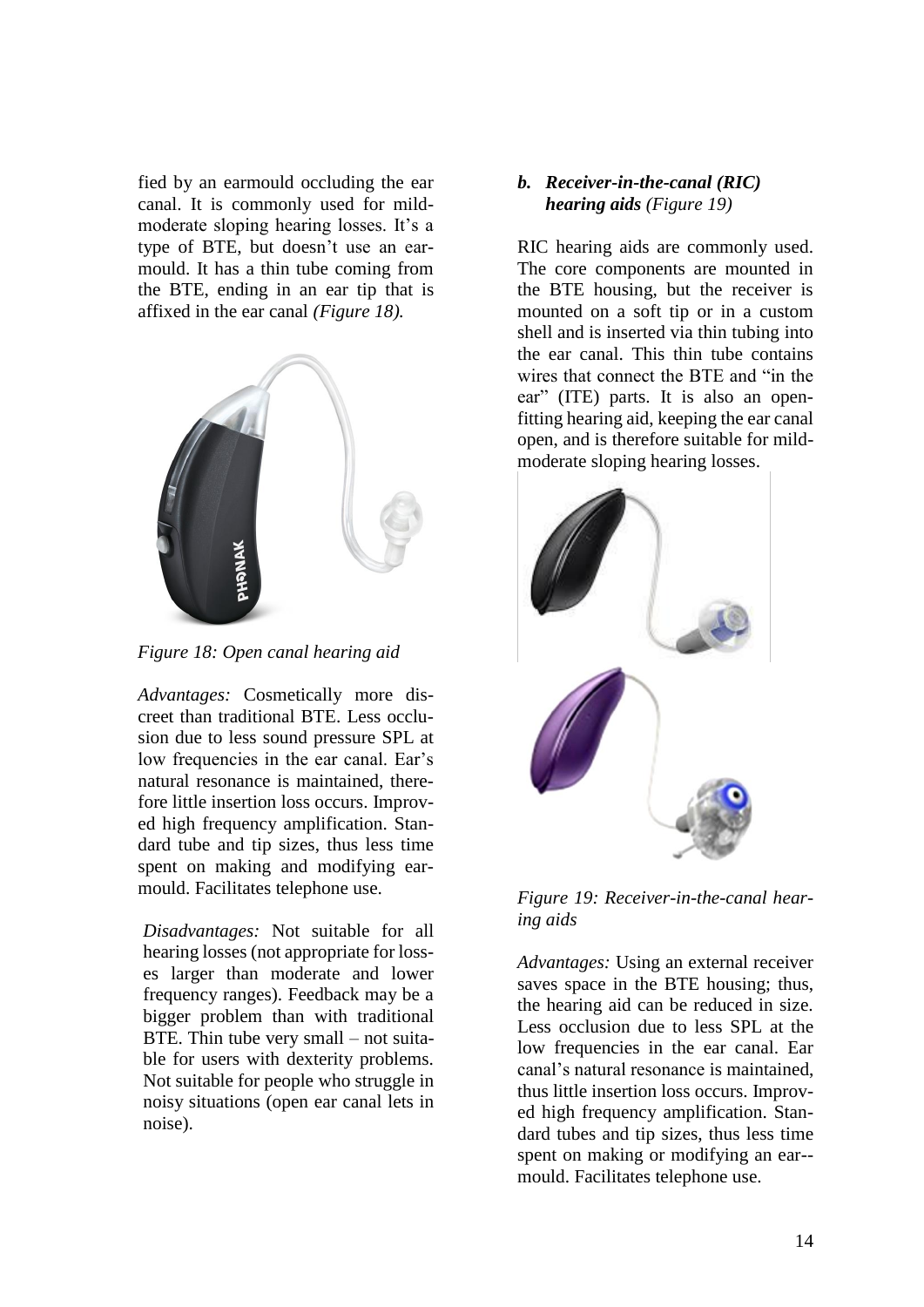fied by an earmould occluding the ear canal. It is commonly used for mildmoderate sloping hearing losses. It's a type of BTE, but doesn't use an earmould. It has a thin tube coming from the BTE, ending in an ear tip that is affixed in the ear canal *(Figure 18).*



*Figure 18: Open canal hearing aid*

*Advantages:* Cosmetically more discreet than traditional BTE. Less occlusion due to less sound pressure SPL at low frequencies in the ear canal. Ear's natural resonance is maintained, therefore little insertion loss occurs. Improved high frequency amplification. Standard tube and tip sizes, thus less time spent on making and modifying earmould. Facilitates telephone use.

*Disadvantages:* Not suitable for all hearing losses (not appropriate for losses larger than moderate and lower frequency ranges). Feedback may be a bigger problem than with traditional BTE. Thin tube very small – not suitable for users with dexterity problems. Not suitable for people who struggle in noisy situations (open ear canal lets in noise).

### *b. Receiver-in-the-canal (RIC) hearing aids (Figure 19)*

RIC hearing aids are commonly used. The core components are mounted in the BTE housing, but the receiver is mounted on a soft tip or in a custom shell and is inserted via thin tubing into the ear canal. This thin tube contains wires that connect the BTE and "in the ear" (ITE) parts. It is also an openfitting hearing aid, keeping the ear canal open, and is therefore suitable for mildmoderate sloping hearing losses.



*Figure 19: Receiver-in-the-canal hearing aids*

*Advantages:* Using an external receiver saves space in the BTE housing; thus, the hearing aid can be reduced in size. Less occlusion due to less SPL at the low frequencies in the ear canal. Ear canal's natural resonance is maintained, thus little insertion loss occurs. Improved high frequency amplification. Standard tubes and tip sizes, thus less time spent on making or modifying an ear- mould. Facilitates telephone use.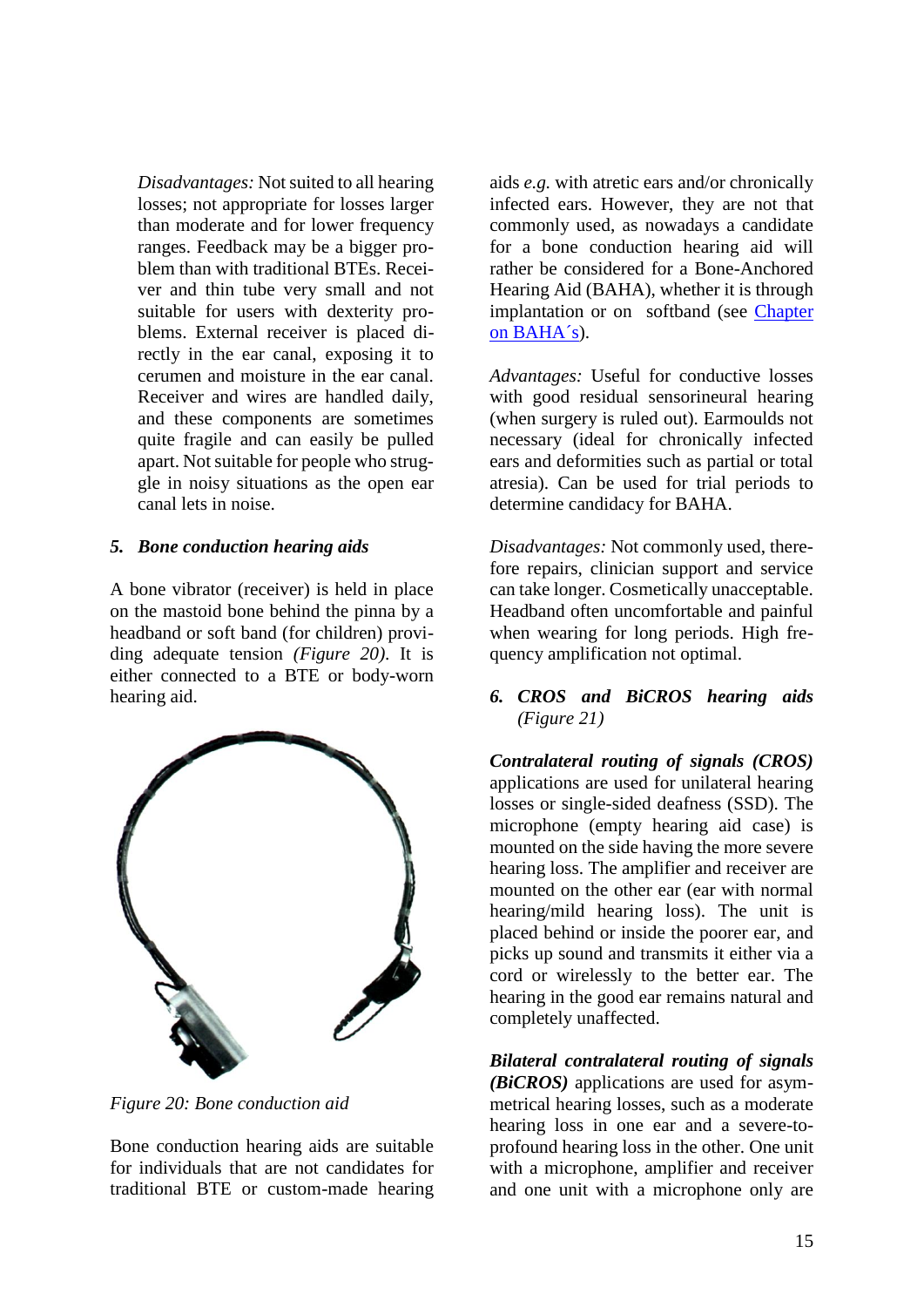*Disadvantages:* Not suited to all hearing losses; not appropriate for losses larger than moderate and for lower frequency ranges. Feedback may be a bigger problem than with traditional BTEs. Receiver and thin tube very small and not suitable for users with dexterity problems. External receiver is placed directly in the ear canal, exposing it to cerumen and moisture in the ear canal. Receiver and wires are handled daily, and these components are sometimes quite fragile and can easily be pulled apart. Not suitable for people who struggle in noisy situations as the open ear canal lets in noise.

### *5. Bone conduction hearing aids*

A bone vibrator (receiver) is held in place on the mastoid bone behind the pinna by a headband or soft band (for children) providing adequate tension *(Figure 20)*. It is either connected to a BTE or body-worn hearing aid.



*Figure 20: Bone conduction aid*

Bone conduction hearing aids are suitable for individuals that are not candidates for traditional BTE or custom-made hearing

aids *e.g.* with atretic ears and/or chronically infected ears. However, they are not that commonly used, as nowadays a candidate for a bone conduction hearing aid will rather be considered for a Bone-Anchored Hearing Aid (BAHA), whether it is through implantation or on softband (see Chapter [on BAHA´s\)](https://vula.uct.ac.za/access/content/group/27b5cb1b-1b65-4280-9437-a9898ddd4c40/Bone%20anchored%20hearing%20implants%20_aids_%20_BAHI_%20_BAHA_.pdf).

*Advantages:* Useful for conductive losses with good residual sensorineural hearing (when surgery is ruled out). Earmoulds not necessary (ideal for chronically infected ears and deformities such as partial or total atresia). Can be used for trial periods to determine candidacy for BAHA.

*Disadvantages:* Not commonly used, therefore repairs, clinician support and service can take longer. Cosmetically unacceptable. Headband often uncomfortable and painful when wearing for long periods. High frequency amplification not optimal.

### *6. CROS and BiCROS hearing aids (Figure 21)*

*Contralateral routing of signals (CROS)* applications are used for unilateral hearing losses or single-sided deafness (SSD). The microphone (empty hearing aid case) is mounted on the side having the more severe hearing loss. The amplifier and receiver are mounted on the other ear (ear with normal hearing/mild hearing loss). The unit is placed behind or inside the poorer ear, and picks up sound and transmits it either via a cord or wirelessly to the better ear. The hearing in the good ear remains natural and completely unaffected.

*Bilateral contralateral routing of signals (BiCROS)* applications are used for asymmetrical hearing losses, such as a moderate hearing loss in one ear and a severe-toprofound hearing loss in the other. One unit with a microphone, amplifier and receiver and one unit with a microphone only are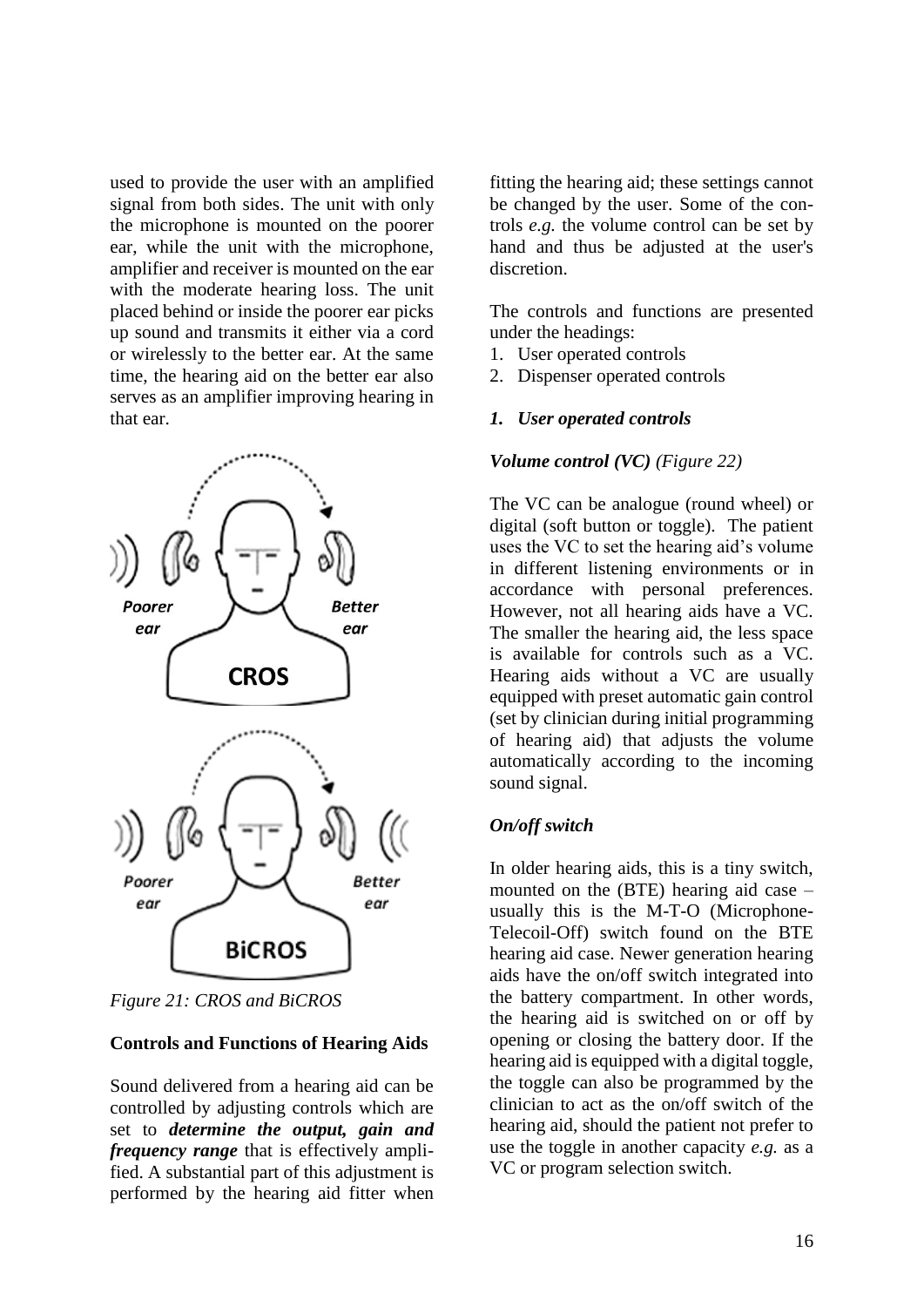used to provide the user with an amplified signal from both sides. The unit with only the microphone is mounted on the poorer ear, while the unit with the microphone, amplifier and receiver is mounted on the ear with the moderate hearing loss. The unit placed behind or inside the poorer ear picks up sound and transmits it either via a cord or wirelessly to the better ear. At the same time, the hearing aid on the better ear also serves as an amplifier improving hearing in that ear.



*Figure 21: CROS and BiCROS*

### **Controls and Functions of Hearing Aids**

Sound delivered from a hearing aid can be controlled by adjusting controls which are set to *determine the output, gain and frequency range* that is effectively amplified. A substantial part of this adjustment is performed by the hearing aid fitter when

fitting the hearing aid; these settings cannot be changed by the user. Some of the controls *e.g.* the volume control can be set by hand and thus be adjusted at the user's discretion.

The controls and functions are presented under the headings:

- 1. User operated controls
- 2. Dispenser operated controls

### *1. User operated controls*

### *Volume control (VC) (Figure 22)*

The VC can be analogue (round wheel) or digital (soft button or toggle). The patient uses the VC to set the hearing aid's volume in different listening environments or in accordance with personal preferences. However, not all hearing aids have a VC. The smaller the hearing aid, the less space is available for controls such as a VC. Hearing aids without a VC are usually equipped with preset automatic gain control (set by clinician during initial programming of hearing aid) that adjusts the volume automatically according to the incoming sound signal.

### *On/off switch*

In older hearing aids, this is a tiny switch, mounted on the (BTE) hearing aid case – usually this is the M-T-O (Microphone-Telecoil-Off) switch found on the BTE hearing aid case. Newer generation hearing aids have the on/off switch integrated into the battery compartment. In other words, the hearing aid is switched on or off by opening or closing the battery door. If the hearing aid is equipped with a digital toggle, the toggle can also be programmed by the clinician to act as the on/off switch of the hearing aid, should the patient not prefer to use the toggle in another capacity *e.g.* as a VC or program selection switch.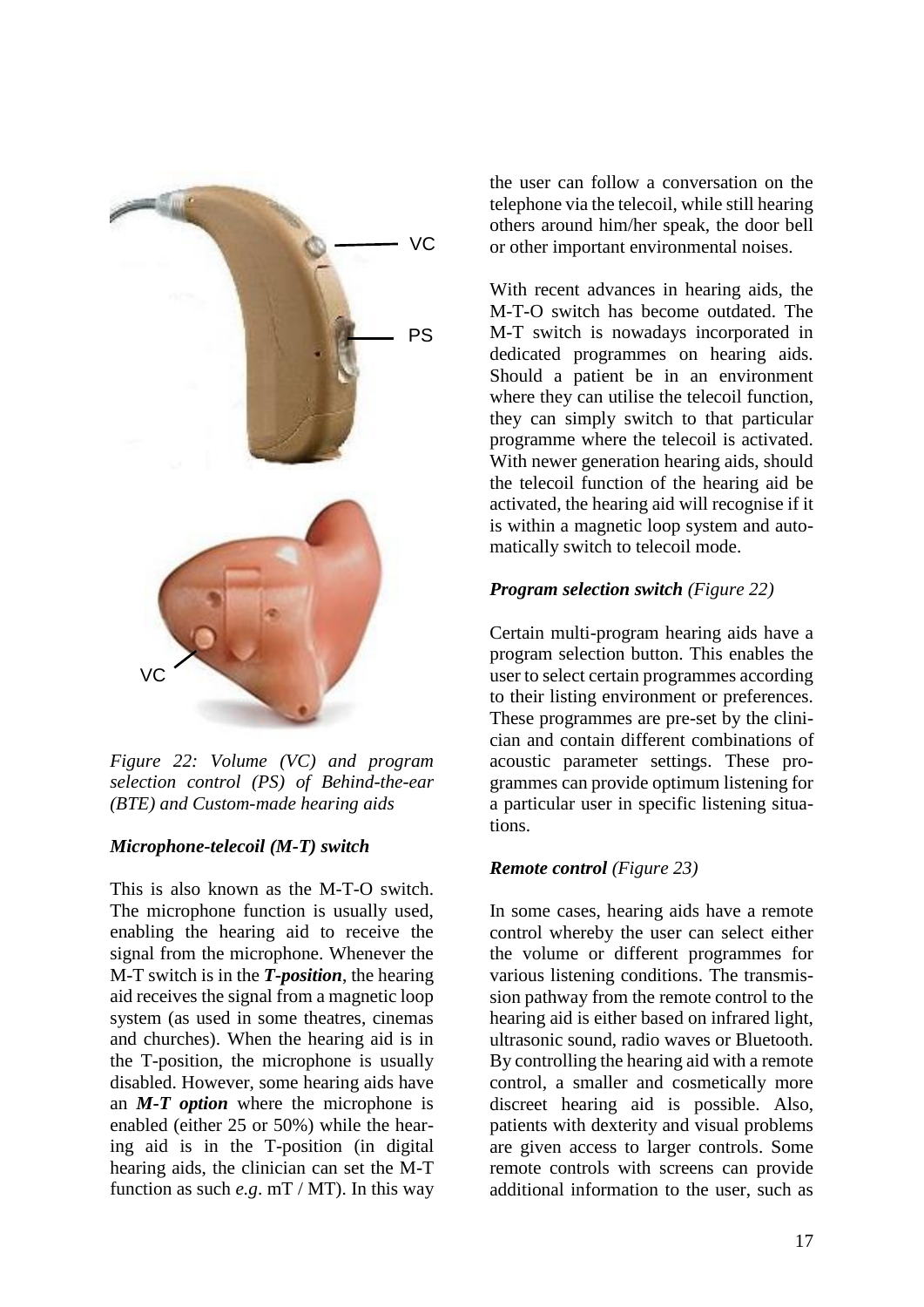

*Figure 22: Volume (VC) and program selection control (PS) of Behind-the-ear (BTE) and Custom-made hearing aids*

### *Microphone-telecoil (M-T) switch*

This is also known as the M-T-O switch. The microphone function is usually used, enabling the hearing aid to receive the signal from the microphone. Whenever the M-T switch is in the *T-position*, the hearing aid receives the signal from a magnetic loop system (as used in some theatres, cinemas and churches). When the hearing aid is in the T-position, the microphone is usually disabled. However, some hearing aids have an *M-T option* where the microphone is enabled (either 25 or 50%) while the hearing aid is in the T-position (in digital hearing aids, the clinician can set the M-T function as such *e.g*. mT / MT). In this way

the user can follow a conversation on the telephone via the telecoil, while still hearing others around him/her speak, the door bell or other important environmental noises.

With recent advances in hearing aids, the M-T-O switch has become outdated. The M-T switch is nowadays incorporated in dedicated programmes on hearing aids. Should a patient be in an environment where they can utilise the telecoil function, they can simply switch to that particular programme where the telecoil is activated. With newer generation hearing aids, should the telecoil function of the hearing aid be activated, the hearing aid will recognise if it is within a magnetic loop system and automatically switch to telecoil mode.

# *Program selection switch (Figure 22)*

Certain multi-program hearing aids have a program selection button. This enables the user to select certain programmes according to their listing environment or preferences. These programmes are pre-set by the clinician and contain different combinations of acoustic parameter settings. These programmes can provide optimum listening for a particular user in specific listening situations.

# *Remote control (Figure 23)*

In some cases, hearing aids have a remote control whereby the user can select either the volume or different programmes for various listening conditions. The transmission pathway from the remote control to the hearing aid is either based on infrared light, ultrasonic sound, radio waves or Bluetooth. By controlling the hearing aid with a remote control, a smaller and cosmetically more discreet hearing aid is possible. Also, patients with dexterity and visual problems are given access to larger controls. Some remote controls with screens can provide additional information to the user, such as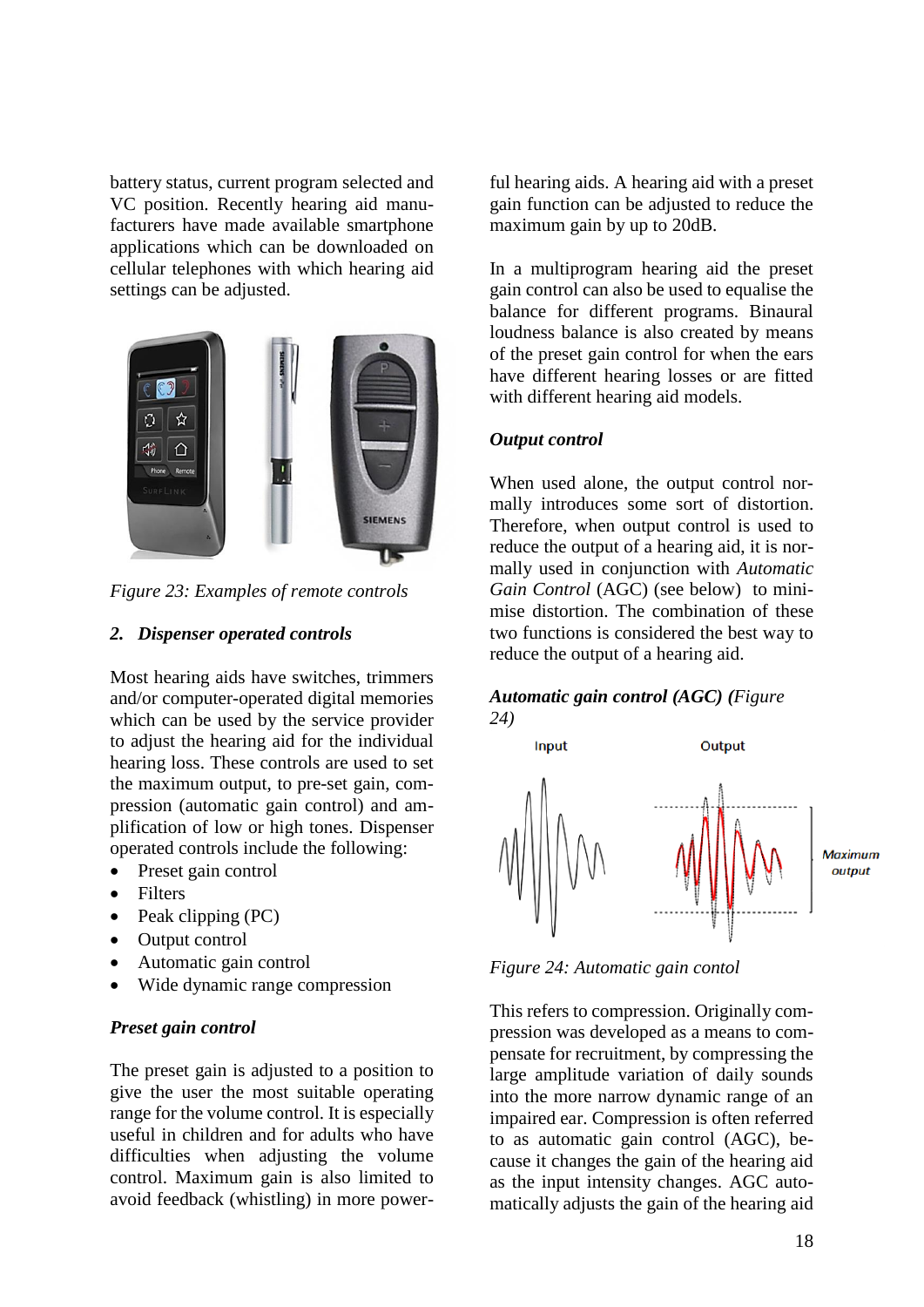battery status, current program selected and VC position. Recently hearing aid manufacturers have made available smartphone applications which can be downloaded on cellular telephones with which hearing aid settings can be adjusted.



*Figure 23: Examples of remote controls* 

#### *2. Dispenser operated controls*

Most hearing aids have switches, trimmers and/or computer-operated digital memories which can be used by the service provider to adjust the hearing aid for the individual hearing loss. These controls are used to set the maximum output, to pre-set gain, compression (automatic gain control) and amplification of low or high tones. Dispenser operated controls include the following:

- Preset gain control
- Filters
- Peak clipping (PC)
- Output control
- Automatic gain control
- Wide dynamic range compression

#### *Preset gain control*

The preset gain is adjusted to a position to give the user the most suitable operating range for the volume control. It is especially useful in children and for adults who have difficulties when adjusting the volume control. Maximum gain is also limited to avoid feedback (whistling) in more powerful hearing aids. A hearing aid with a preset gain function can be adjusted to reduce the maximum gain by up to 20dB.

In a multiprogram hearing aid the preset gain control can also be used to equalise the balance for different programs. Binaural loudness balance is also created by means of the preset gain control for when the ears have different hearing losses or are fitted with different hearing aid models.

### *Output control*

When used alone, the output control normally introduces some sort of distortion. Therefore, when output control is used to reduce the output of a hearing aid, it is normally used in conjunction with *Automatic Gain Control* (AGC) (see below) to minimise distortion. The combination of these two functions is considered the best way to reduce the output of a hearing aid.

#### *Automatic gain control (AGC) (Figure 24)*



*Figure 24: Automatic gain contol*

This refers to compression. Originally compression was developed as a means to compensate for recruitment, by compressing the large amplitude variation of daily sounds into the more narrow dynamic range of an impaired ear. Compression is often referred to as automatic gain control (AGC), because it changes the gain of the hearing aid as the input intensity changes. AGC automatically adjusts the gain of the hearing aid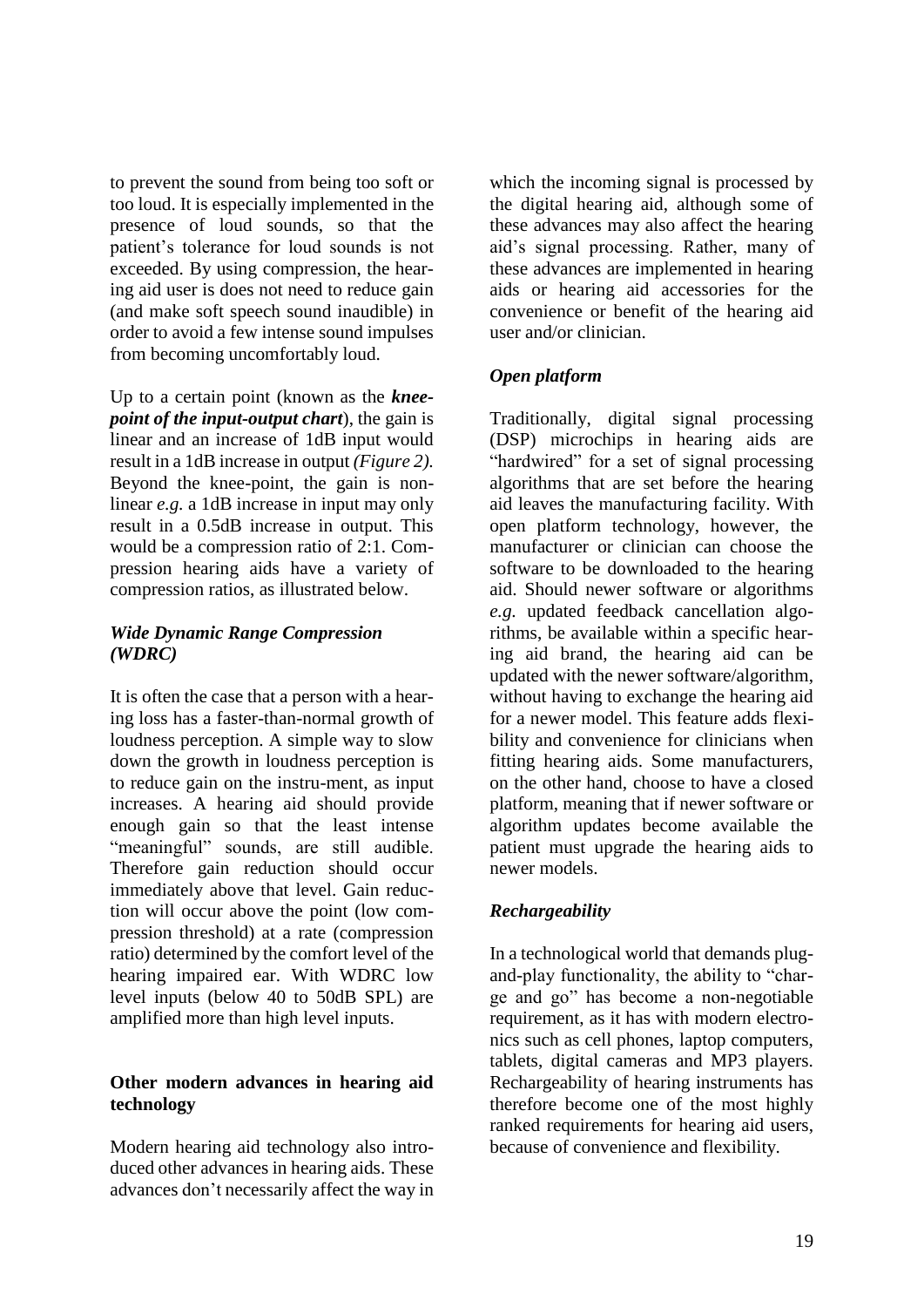to prevent the sound from being too soft or too loud. It is especially implemented in the presence of loud sounds, so that the patient's tolerance for loud sounds is not exceeded. By using compression, the hearing aid user is does not need to reduce gain (and make soft speech sound inaudible) in order to avoid a few intense sound impulses from becoming uncomfortably loud.

Up to a certain point (known as the *kneepoint of the input-output chart*), the gain is linear and an increase of 1dB input would result in a 1dB increase in output *(Figure 2).* Beyond the knee-point, the gain is nonlinear *e.g.* a 1dB increase in input may only result in a 0.5dB increase in output. This would be a compression ratio of 2:1. Compression hearing aids have a variety of compression ratios, as illustrated below.

### *Wide Dynamic Range Compression (WDRC)*

It is often the case that a person with a hearing loss has a faster-than-normal growth of loudness perception. A simple way to slow down the growth in loudness perception is to reduce gain on the instru-ment, as input increases. A hearing aid should provide enough gain so that the least intense "meaningful" sounds, are still audible. Therefore gain reduction should occur immediately above that level. Gain reduction will occur above the point (low compression threshold) at a rate (compression ratio) determined by the comfort level of the hearing impaired ear. With WDRC low level inputs (below 40 to 50dB SPL) are amplified more than high level inputs.

# **Other modern advances in hearing aid technology**

Modern hearing aid technology also introduced other advances in hearing aids. These advances don't necessarily affect the way in

which the incoming signal is processed by the digital hearing aid, although some of these advances may also affect the hearing aid's signal processing. Rather, many of these advances are implemented in hearing aids or hearing aid accessories for the convenience or benefit of the hearing aid user and/or clinician.

# *Open platform*

Traditionally, digital signal processing (DSP) microchips in hearing aids are "hardwired" for a set of signal processing algorithms that are set before the hearing aid leaves the manufacturing facility. With open platform technology, however, the manufacturer or clinician can choose the software to be downloaded to the hearing aid. Should newer software or algorithms *e.g.* updated feedback cancellation algorithms, be available within a specific hearing aid brand, the hearing aid can be updated with the newer software/algorithm, without having to exchange the hearing aid for a newer model. This feature adds flexibility and convenience for clinicians when fitting hearing aids. Some manufacturers, on the other hand, choose to have a closed platform, meaning that if newer software or algorithm updates become available the patient must upgrade the hearing aids to newer models.

### *Rechargeability*

In a technological world that demands plugand-play functionality, the ability to "charge and go" has become a non-negotiable requirement, as it has with modern electronics such as cell phones, laptop computers, tablets, digital cameras and MP3 players. Rechargeability of hearing instruments has therefore become one of the most highly ranked requirements for hearing aid users, because of convenience and flexibility.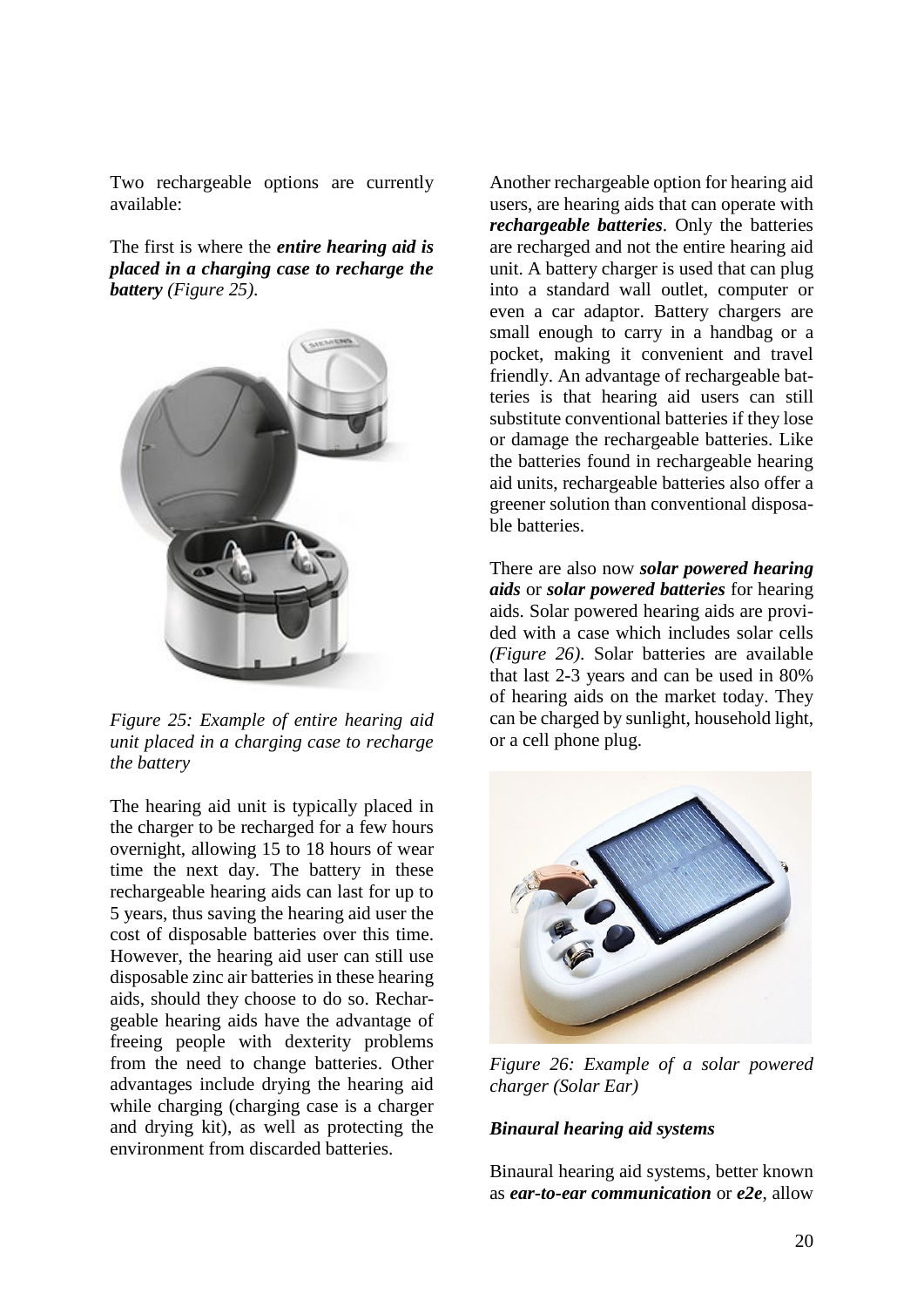Two rechargeable options are currently available:

The first is where the *entire hearing aid is placed in a charging case to recharge the battery (Figure 25)*.



*Figure 25: Example of entire hearing aid unit placed in a charging case to recharge the battery*

The hearing aid unit is typically placed in the charger to be recharged for a few hours overnight, allowing 15 to 18 hours of wear time the next day. The battery in these rechargeable hearing aids can last for up to 5 years, thus saving the hearing aid user the cost of disposable batteries over this time. However, the hearing aid user can still use disposable zinc air batteries in these hearing aids, should they choose to do so. Rechargeable hearing aids have the advantage of freeing people with dexterity problems from the need to change batteries. Other advantages include drying the hearing aid while charging (charging case is a charger and drying kit), as well as protecting the environment from discarded batteries.

Another rechargeable option for hearing aid users, are hearing aids that can operate with *rechargeable batteries*. Only the batteries are recharged and not the entire hearing aid unit. A battery charger is used that can plug into a standard wall outlet, computer or even a car adaptor. Battery chargers are small enough to carry in a handbag or a pocket, making it convenient and travel friendly. An advantage of rechargeable batteries is that hearing aid users can still substitute conventional batteries if they lose or damage the rechargeable batteries. Like the batteries found in rechargeable hearing aid units, rechargeable batteries also offer a greener solution than conventional disposable batteries.

There are also now *solar powered hearing aids* or *solar powered batteries* for hearing aids. Solar powered hearing aids are provided with a case which includes solar cells *(Figure 26)*. Solar batteries are available that last 2-3 years and can be used in 80% of hearing aids on the market today. They can be charged by sunlight, household light, or a cell phone plug.



*Figure 26: Example of a solar powered charger (Solar Ear)*

### *Binaural hearing aid systems*

Binaural hearing aid systems, better known as *ear-to-ear communication* or *e2e*, allow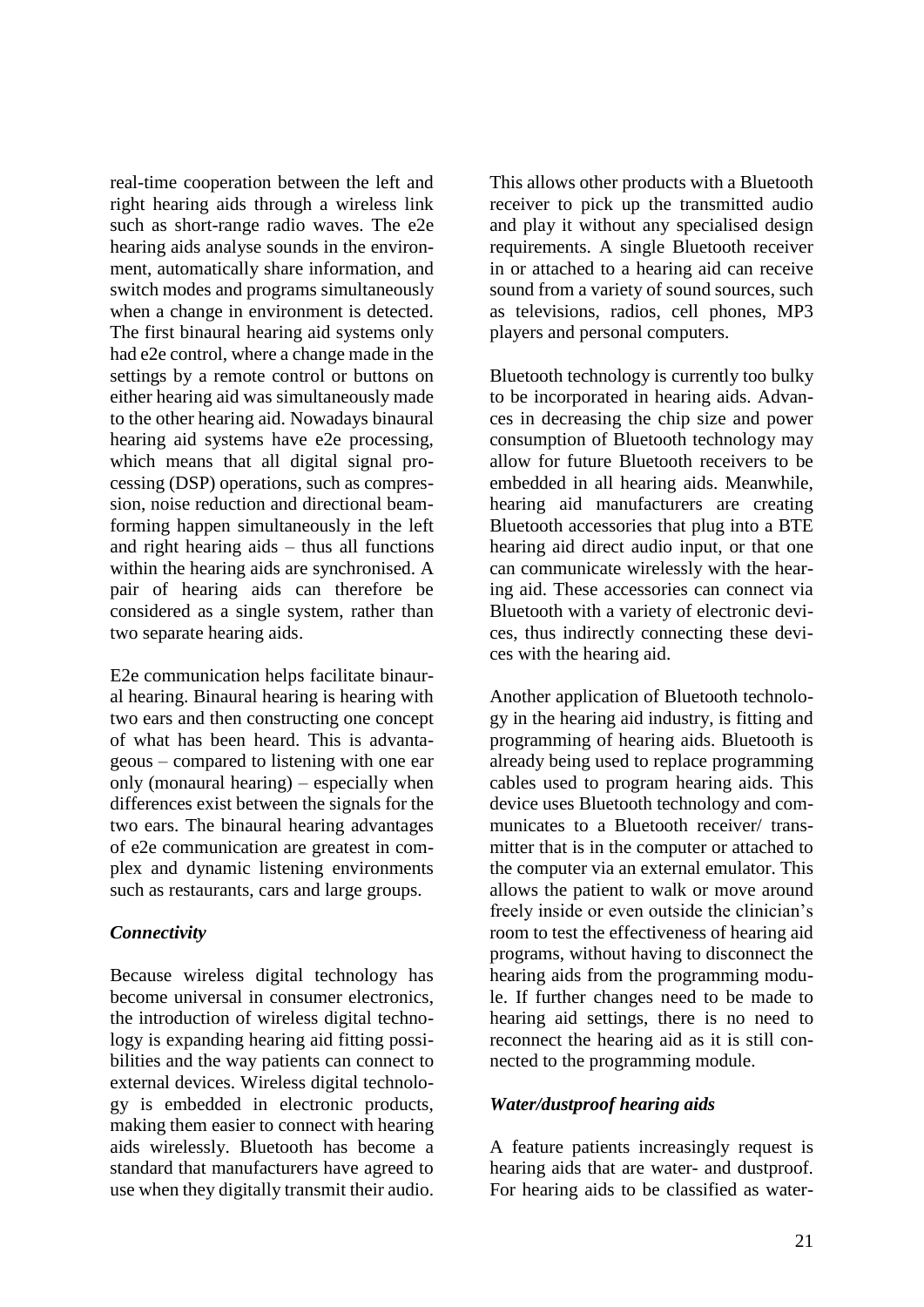real-time cooperation between the left and right hearing aids through a wireless link such as short-range radio waves. The e2e hearing aids analyse sounds in the environment, automatically share information, and switch modes and programs simultaneously when a change in environment is detected. The first binaural hearing aid systems only had e2e control, where a change made in the settings by a remote control or buttons on either hearing aid was simultaneously made to the other hearing aid. Nowadays binaural hearing aid systems have e2e processing, which means that all digital signal processing (DSP) operations, such as compression, noise reduction and directional beamforming happen simultaneously in the left and right hearing aids – thus all functions within the hearing aids are synchronised. A pair of hearing aids can therefore be considered as a single system, rather than two separate hearing aids.

E2e communication helps facilitate binaural hearing. Binaural hearing is hearing with two ears and then constructing one concept of what has been heard. This is advantageous – compared to listening with one ear only (monaural hearing) – especially when differences exist between the signals for the two ears. The binaural hearing advantages of e2e communication are greatest in complex and dynamic listening environments such as restaurants, cars and large groups.

### *Connectivity*

Because wireless digital technology has become universal in consumer electronics, the introduction of wireless digital technology is expanding hearing aid fitting possibilities and the way patients can connect to external devices. Wireless digital technology is embedded in electronic products, making them easier to connect with hearing aids wirelessly. Bluetooth has become a standard that manufacturers have agreed to use when they digitally transmit their audio.

This allows other products with a Bluetooth receiver to pick up the transmitted audio and play it without any specialised design requirements. A single Bluetooth receiver in or attached to a hearing aid can receive sound from a variety of sound sources, such as televisions, radios, cell phones, MP3 players and personal computers.

Bluetooth technology is currently too bulky to be incorporated in hearing aids. Advances in decreasing the chip size and power consumption of Bluetooth technology may allow for future Bluetooth receivers to be embedded in all hearing aids. Meanwhile, hearing aid manufacturers are creating Bluetooth accessories that plug into a BTE hearing aid direct audio input, or that one can communicate wirelessly with the hearing aid. These accessories can connect via Bluetooth with a variety of electronic devices, thus indirectly connecting these devices with the hearing aid.

Another application of Bluetooth technology in the hearing aid industry, is fitting and programming of hearing aids. Bluetooth is already being used to replace programming cables used to program hearing aids. This device uses Bluetooth technology and communicates to a Bluetooth receiver/ transmitter that is in the computer or attached to the computer via an external emulator. This allows the patient to walk or move around freely inside or even outside the clinician's room to test the effectiveness of hearing aid programs, without having to disconnect the hearing aids from the programming module. If further changes need to be made to hearing aid settings, there is no need to reconnect the hearing aid as it is still connected to the programming module.

### *Water/dustproof hearing aids*

A feature patients increasingly request is hearing aids that are water- and dustproof. For hearing aids to be classified as water